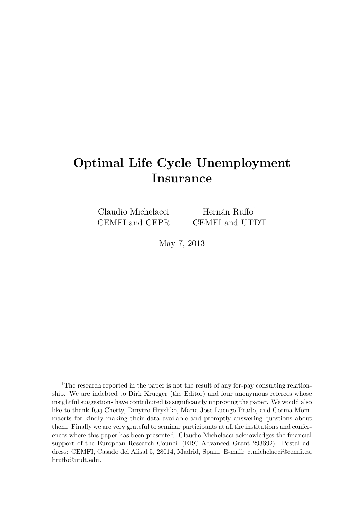# Optimal Life Cycle Unemployment Insurance

Claudio Michelacci CEMFI and CEPR

Hernán Ruffo<sup>1</sup> CEMFI and UTDT

May 7, 2013

<sup>1</sup>The research reported in the paper is not the result of any for-pay consulting relationship. We are indebted to Dirk Krueger (the Editor) and four anonymous referees whose insightful suggestions have contributed to significantly improving the paper. We would also like to thank Raj Chetty, Dmytro Hryshko, Maria Jose Luengo-Prado, and Corina Mommaerts for kindly making their data available and promptly answering questions about them. Finally we are very grateful to seminar participants at all the institutions and conferences where this paper has been presented. Claudio Michelacci acknowledges the financial support of the European Research Council (ERC Advanced Grant 293692). Postal address: CEMFI, Casado del Alisal 5, 28014, Madrid, Spain. E-mail: c.michelacci@cemfi.es, hruffo@utdt.edu.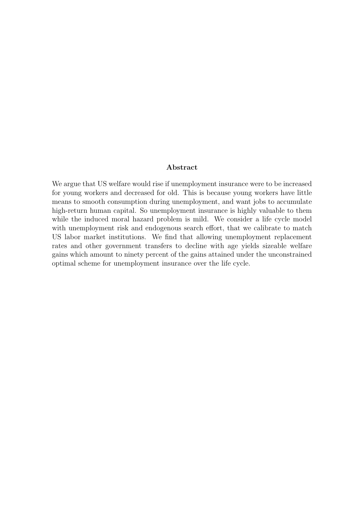## Abstract

We argue that US welfare would rise if unemployment insurance were to be increased for young workers and decreased for old. This is because young workers have little means to smooth consumption during unemployment, and want jobs to accumulate high-return human capital. So unemployment insurance is highly valuable to them while the induced moral hazard problem is mild. We consider a life cycle model with unemployment risk and endogenous search effort, that we calibrate to match US labor market institutions. We find that allowing unemployment replacement rates and other government transfers to decline with age yields sizeable welfare gains which amount to ninety percent of the gains attained under the unconstrained optimal scheme for unemployment insurance over the life cycle.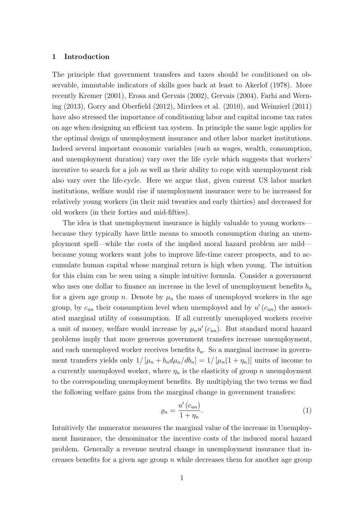## 1 Introduction

The principle that government transfers and taxes should be conditioned on observable, immutable indicators of skills goes back at least to Akerlof (1978). More recently Kremer (2001), Erosa and Gervais (2002), Gervais (2004), Farhi and Werning (2013), Gorry and Oberfield (2012), Mirrlees et al. (2010), and Weinzierl (2011) have also stressed the importance of conditioning labor and capital income tax rates on age when designing an efficient tax system. In principle the same logic applies for the optimal design of unemployment insurance and other labor market institutions. Indeed several important economic variables (such as wages, wealth, consumption, and unemployment duration) vary over the life cycle which suggests that workers' incentive to search for a job as well as their ability to cope with unemployment risk also vary over the life-cycle. Here we argue that, given current US labor market institutions, welfare would rise if unemployment insurance were to be increased for relatively young workers (in their mid twenties and early thirties) and decreased for old workers (in their forties and mid-fifties).

The idea is that unemployment insurance is highly valuable to young workers because they typically have little means to smooth consumption during an unemployment spell—while the costs of the implied moral hazard problem are mild because young workers want jobs to improve life-time career prospects, and to accumulate human capital whose marginal return is high when young. The intuition for this claim can be seen using a simple intuitive formula. Consider a government who uses one dollar to finance an increase in the level of unemployment benefits  $b_n$ for a given age group n. Denote by  $\mu_n$  the mass of unemployed workers in the age group, by  $c_{un}$  their consumption level when unemployed and by  $u'(c_{un})$  the associated marginal utility of consumption. If all currently unemployed workers receive a unit of money, welfare would increase by  $\mu_n u'(c_{un})$ . But standard moral hazard problems imply that more generous government transfers increase unemployment, and each unemployed worker receives benefits  $b_n$ . So a marginal increase in government transfers yields only  $1/[\mu_n + b_n d\mu_n/db_n] = 1/[\mu_n(1 + \eta_n)]$  units of income to a currently unemployed worker, where  $\eta_n$  is the elasticity of group n unemployment to the corresponding unemployment benefits. By multiplying the two terms we find the following welfare gains from the marginal change in government transfers:

$$
\varrho_n = \frac{u'(c_{un})}{1 + \eta_n}.\tag{1}
$$

Intuitively the numerator measures the marginal value of the increase in Unemployment Insurance, the denominator the incentive costs of the induced moral hazard problem. Generally a revenue neutral change in unemployment insurance that increases benefits for a given age group  $n$  while decreases them for another age group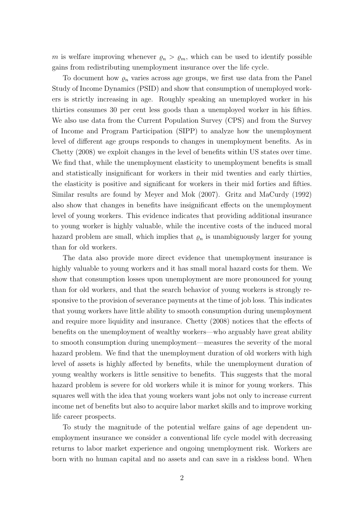m is welfare improving whenever  $\varrho_n > \varrho_m$ , which can be used to identify possible gains from redistributing unemployment insurance over the life cycle.

To document how  $\varrho_n$  varies across age groups, we first use data from the Panel Study of Income Dynamics (PSID) and show that consumption of unemployed workers is strictly increasing in age. Roughly speaking an unemployed worker in his thirties consumes 30 per cent less goods than a unemployed worker in his fifties. We also use data from the Current Population Survey (CPS) and from the Survey of Income and Program Participation (SIPP) to analyze how the unemployment level of different age groups responds to changes in unemployment benefits. As in Chetty (2008) we exploit changes in the level of benefits within US states over time. We find that, while the unemployment elasticity to unemployment benefits is small and statistically insignificant for workers in their mid twenties and early thirties, the elasticity is positive and significant for workers in their mid forties and fifties. Similar results are found by Meyer and Mok (2007). Gritz and MaCurdy (1992) also show that changes in benefits have insignificant effects on the unemployment level of young workers. This evidence indicates that providing additional insurance to young worker is highly valuable, while the incentive costs of the induced moral hazard problem are small, which implies that  $\rho_n$  is unambiguously larger for young than for old workers.

The data also provide more direct evidence that unemployment insurance is highly valuable to young workers and it has small moral hazard costs for them. We show that consumption losses upon unemployment are more pronounced for young than for old workers, and that the search behavior of young workers is strongly responsive to the provision of severance payments at the time of job loss. This indicates that young workers have little ability to smooth consumption during unemployment and require more liquidity and insurance. Chetty (2008) notices that the effects of benefits on the unemployment of wealthy workers—who arguably have great ability to smooth consumption during unemployment—measures the severity of the moral hazard problem. We find that the unemployment duration of old workers with high level of assets is highly affected by benefits, while the unemployment duration of young wealthy workers is little sensitive to benefits. This suggests that the moral hazard problem is severe for old workers while it is minor for young workers. This squares well with the idea that young workers want jobs not only to increase current income net of benefits but also to acquire labor market skills and to improve working life career prospects.

To study the magnitude of the potential welfare gains of age dependent unemployment insurance we consider a conventional life cycle model with decreasing returns to labor market experience and ongoing unemployment risk. Workers are born with no human capital and no assets and can save in a riskless bond. When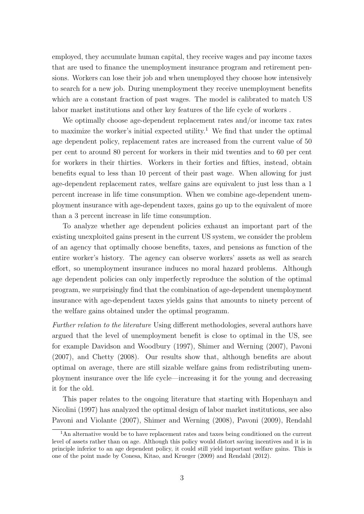employed, they accumulate human capital, they receive wages and pay income taxes that are used to finance the unemployment insurance program and retirement pensions. Workers can lose their job and when unemployed they choose how intensively to search for a new job. During unemployment they receive unemployment benefits which are a constant fraction of past wages. The model is calibrated to match US labor market institutions and other key features of the life cycle of workers .

We optimally choose age-dependent replacement rates and/or income tax rates to maximize the worker's initial expected utility.<sup>1</sup> We find that under the optimal age dependent policy, replacement rates are increased from the current value of 50 per cent to around 80 percent for workers in their mid twenties and to 60 per cent for workers in their thirties. Workers in their forties and fifties, instead, obtain benefits equal to less than 10 percent of their past wage. When allowing for just age-dependent replacement rates, welfare gains are equivalent to just less than a 1 percent increase in life time consumption. When we combine age-dependent unemployment insurance with age-dependent taxes, gains go up to the equivalent of more than a 3 percent increase in life time consumption.

To analyze whether age dependent policies exhaust an important part of the existing unexploited gains present in the current US system, we consider the problem of an agency that optimally choose benefits, taxes, and pensions as function of the entire worker's history. The agency can observe workers' assets as well as search effort, so unemployment insurance induces no moral hazard problems. Although age dependent policies can only imperfectly reproduce the solution of the optimal program, we surprisingly find that the combination of age-dependent unemployment insurance with age-dependent taxes yields gains that amounts to ninety percent of the welfare gains obtained under the optimal programm.

Further relation to the literature Using different methodologies, several authors have argued that the level of unemployment benefit is close to optimal in the US, see for example Davidson and Woodbury (1997), Shimer and Werning (2007), Pavoni (2007), and Chetty (2008). Our results show that, although benefits are about optimal on average, there are still sizable welfare gains from redistributing unemployment insurance over the life cycle—increasing it for the young and decreasing it for the old.

This paper relates to the ongoing literature that starting with Hopenhayn and Nicolini (1997) has analyzed the optimal design of labor market institutions, see also Pavoni and Violante (2007), Shimer and Werning (2008), Pavoni (2009), Rendahl

<sup>&</sup>lt;sup>1</sup>An alternative would be to have replacement rates and taxes being conditioned on the current level of assets rather than on age. Although this policy would distort saving incentives and it is in principle inferior to an age dependent policy, it could still yield important welfare gains. This is one of the point made by Conesa, Kitao, and Krueger (2009) and Rendahl (2012).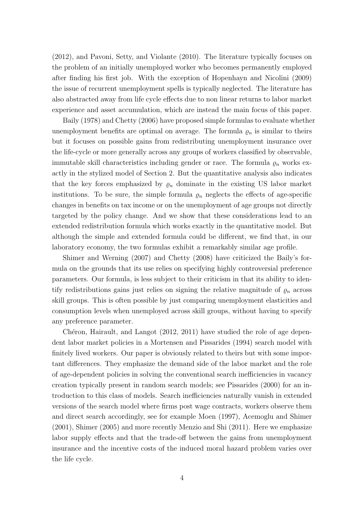(2012), and Pavoni, Setty, and Violante (2010). The literature typically focuses on the problem of an initially unemployed worker who becomes permanently employed after finding his first job. With the exception of Hopenhayn and Nicolini (2009) the issue of recurrent unemployment spells is typically neglected. The literature has also abstracted away from life cycle effects due to non linear returns to labor market experience and asset accumulation, which are instead the main focus of this paper.

Baily (1978) and Chetty (2006) have proposed simple formulas to evaluate whether unemployment benefits are optimal on average. The formula  $\rho_n$  is similar to theirs but it focuses on possible gains from redistributing unemployment insurance over the life-cycle or more generally across any groups of workers classified by observable, immutable skill characteristics including gender or race. The formula  $\varrho_n$  works exactly in the stylized model of Section 2. But the quantitative analysis also indicates that the key forces emphasized by  $\rho_n$  dominate in the existing US labor market institutions. To be sure, the simple formula  $\varrho_n$  neglects the effects of age-specific changes in benefits on tax income or on the unemployment of age groups not directly targeted by the policy change. And we show that these considerations lead to an extended redistribution formula which works exactly in the quantitative model. But although the simple and extended formula could be different, we find that, in our laboratory economy, the two formulas exhibit a remarkably similar age profile.

Shimer and Werning (2007) and Chetty (2008) have criticized the Baily's formula on the grounds that its use relies on specifying highly controversial preference parameters. Our formula, is less subject to their criticism in that its ability to identify redistributions gains just relies on signing the relative magnitude of  $\rho_n$  across skill groups. This is often possible by just comparing unemployment elasticities and consumption levels when unemployed across skill groups, without having to specify any preference parameter.

Chéron, Hairault, and Langot  $(2012, 2011)$  have studied the role of age dependent labor market policies in a Mortensen and Pissarides (1994) search model with finitely lived workers. Our paper is obviously related to theirs but with some important differences. They emphasize the demand side of the labor market and the role of age-dependent policies in solving the conventional search inefficiencies in vacancy creation typically present in random search models; see Pissarides (2000) for an introduction to this class of models. Search inefficiencies naturally vanish in extended versions of the search model where firms post wage contracts, workers observe them and direct search accordingly, see for example Moen (1997), Acemoglu and Shimer (2001), Shimer (2005) and more recently Menzio and Shi (2011). Here we emphasize labor supply effects and that the trade-off between the gains from unemployment insurance and the incentive costs of the induced moral hazard problem varies over the life cycle.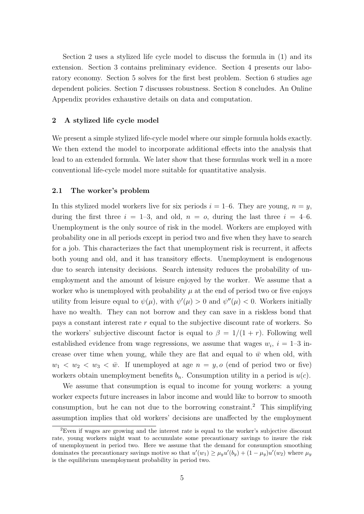Section 2 uses a stylized life cycle model to discuss the formula in (1) and its extension. Section 3 contains preliminary evidence. Section 4 presents our laboratory economy. Section 5 solves for the first best problem. Section 6 studies age dependent policies. Section 7 discusses robustness. Section 8 concludes. An Online Appendix provides exhaustive details on data and computation.

## 2 A stylized life cycle model

We present a simple stylized life-cycle model where our simple formula holds exactly. We then extend the model to incorporate additional effects into the analysis that lead to an extended formula. We later show that these formulas work well in a more conventional life-cycle model more suitable for quantitative analysis.

## 2.1 The worker's problem

In this stylized model workers live for six periods  $i = 1-6$ . They are young,  $n = y$ , during the first three  $i = 1-3$ , and old,  $n = 0$ , during the last three  $i = 4-6$ . Unemployment is the only source of risk in the model. Workers are employed with probability one in all periods except in period two and five when they have to search for a job. This characterizes the fact that unemployment risk is recurrent, it affects both young and old, and it has transitory effects. Unemployment is endogenous due to search intensity decisions. Search intensity reduces the probability of unemployment and the amount of leisure enjoyed by the worker. We assume that a worker who is unemployed with probability  $\mu$  at the end of period two or five enjoys utility from leisure equal to  $\psi(\mu)$ , with  $\psi'(\mu) > 0$  and  $\psi''(\mu) < 0$ . Workers initially have no wealth. They can not borrow and they can save in a riskless bond that pays a constant interest rate  $r$  equal to the subjective discount rate of workers. So the workers' subjective discount factor is equal to  $\beta = 1/(1 + r)$ . Following well established evidence from wage regressions, we assume that wages  $w_i$ ,  $i = 1-3$  increase over time when young, while they are flat and equal to  $\bar{w}$  when old, with  $w_1 \, \langle w_2 \, \langle w_3 \rangle \, \langle w \rangle$ . If unemployed at age  $n = y$ , o (end of period two or five) workers obtain unemployment benefits  $b_n$ . Consumption utility in a period is  $u(c)$ .

We assume that consumption is equal to income for young workers: a young worker expects future increases in labor income and would like to borrow to smooth consumption, but he can not due to the borrowing constraint.<sup>2</sup> This simplifying assumption implies that old workers' decisions are unaffected by the employment

 ${}^{2}$ Even if wages are growing and the interest rate is equal to the worker's subjective discount rate, young workers might want to accumulate some precautionary savings to insure the risk of unemployment in period two. Here we assume that the demand for consumption smoothing dominates the precautionary savings motive so that  $u'(w_1) \ge \mu_y u'(b_y) + (1 - \mu_y) u'(w_2)$  where  $\mu_y$ is the equilibrium unemployment probability in period two.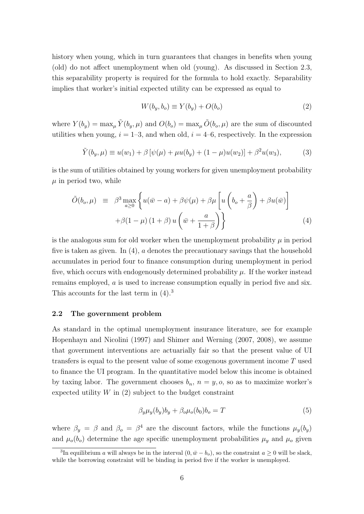history when young, which in turn guarantees that changes in benefits when young (old) do not affect unemployment when old (young). As discussed in Section 2.3, this separability property is required for the formula to hold exactly. Separability implies that worker's initial expected utility can be expressed as equal to

$$
W(b_y, b_o) \equiv Y(b_y) + O(b_o) \tag{2}
$$

where  $Y(b_y) = \max_{\mu} \tilde{Y}(b_y, \mu)$  and  $O(b_o) = \max_{\mu} \tilde{O}(b_o, \mu)$  are the sum of discounted utilities when young,  $i = 1-3$ , and when old,  $i = 4-6$ , respectively. In the expression

$$
\tilde{Y}(b_y, \mu) \equiv u(w_1) + \beta \left[ \psi(\mu) + \mu u(b_y) + (1 - \mu) u(w_2) \right] + \beta^2 u(w_3), \tag{3}
$$

is the sum of utilities obtained by young workers for given unemployment probability  $\mu$  in period two, while

$$
\tilde{O}(b_o, \mu) \equiv \beta^3 \max_{a \ge 0} \left\{ u(\bar{w} - a) + \beta \psi(\mu) + \beta \mu \left[ u \left( b_o + \frac{a}{\beta} \right) + \beta u(\bar{w}) \right] + \beta (1 - \mu) (1 + \beta) u \left( \bar{w} + \frac{a}{1 + \beta} \right) \right\}
$$
\n(4)

is the analogous sum for old worker when the unemployment probability  $\mu$  in period five is taken as given. In (4), a denotes the precautionary savings that the household accumulates in period four to finance consumption during unemployment in period five, which occurs with endogenously determined probability  $\mu$ . If the worker instead remains employed, a is used to increase consumption equally in period five and six. This accounts for the last term in  $(4).<sup>3</sup>$ 

## 2.2 The government problem

As standard in the optimal unemployment insurance literature, see for example Hopenhayn and Nicolini (1997) and Shimer and Werning (2007, 2008), we assume that government interventions are actuarially fair so that the present value of UI transfers is equal to the present value of some exogenous government income  $T$  used to finance the UI program. In the quantitative model below this income is obtained by taxing labor. The government chooses  $b_n$ ,  $n = y$ ,  $o$ , so as to maximize worker's expected utility  $W$  in  $(2)$  subject to the budget constraint

$$
\beta_y \mu_y(b_y) b_y + \beta_o \mu_o(b_0) b_o = T \tag{5}
$$

where  $\beta_y = \beta$  and  $\beta_o = \beta^4$  are the discount factors, while the functions  $\mu_y(b_y)$ and  $\mu_o(b_o)$  determine the age specific unemployment probabilities  $\mu_y$  and  $\mu_o$  given

<sup>&</sup>lt;sup>3</sup>In equilibrium a will always be in the interval  $(0, \bar{w} - b_o)$ , so the constraint  $a \ge 0$  will be slack, while the borrowing constraint will be binding in period five if the worker is unemployed.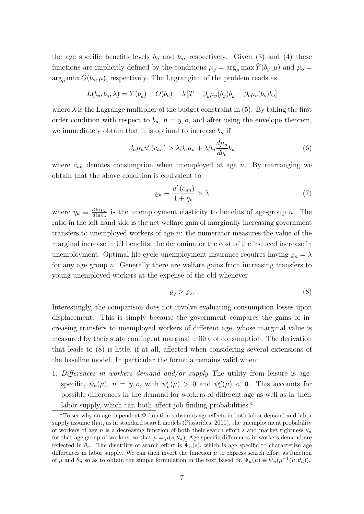the age specific benefits levels  $b_y$  and  $b_o$ , respectively. Given (3) and (4) these functions are implicitly defined by the conditions  $\mu_y = \arg_\mu \max \tilde{Y}(b_y, \mu)$  and  $\mu_o =$  $\arg_{\mu} \max O(b_o, \mu)$ , respectively. The Lagrangian of the problem reads as

$$
L(b_y, b_o, \lambda) = Y(b_y) + O(b_o) + \lambda \left[ T - \beta_y \mu_y(b_y) b_y - \beta_o \mu_o(b_o) b_o \right]
$$

where  $\lambda$  is the Lagrange multiplier of the budget constraint in (5). By taking the first order condition with respect to  $b_n$ ,  $n = y$ , o, and after using the envelope theorem, we immediately obtain that it is optimal to increase  $b_n$  if

$$
\beta_n \mu_n u'(c_{un}) > \lambda \beta_n \mu_n + \lambda \beta_n \frac{d\mu_n}{db_n} b_n \tag{6}
$$

where  $c_{un}$  denotes consumption when unemployed at age n. By rearranging we obtain that the above condition is equivalent to

$$
\varrho_n \equiv \frac{u'(c_{un})}{1 + \eta_n} > \lambda \tag{7}
$$

where  $\eta_n \equiv \frac{d \ln \mu_n}{d \ln b_n}$  $\frac{d \ln \mu_n}{d \ln b_n}$  is the unemployment elasticity to benefits of age-group n. The ratio in the left hand side is the net welfare gain of marginally increasing government transfers to unemployed workers of age n: the numerator measures the value of the marginal increase in UI benefits; the denominator the cost of the induced increase in unemployment. Optimal life cycle unemployment insurance requires having  $\rho_n = \lambda$ for any age group  $n$ . Generally there are welfare gains from increasing transfers to young unemployed workers at the expense of the old whenever

$$
\varrho_y > \varrho_o. \tag{8}
$$

Interestingly, the comparison does not involve evaluating consumption losses upon displacement. This is simply because the government compares the gains of increasing transfers to unemployed workers of different age, whose marginal value is measured by their state contingent marginal utility of consumption. The derivation that leads to (8) is little, if at all, affected when considering several extensions of the baseline model. In particular the formula remains valid when:

1. Differences in workers demand and/or supply The utility from leisure is agespecific,  $\psi_n(\mu)$ ,  $n = y$ , o, with  $\psi'_n(\mu) > 0$  and  $\psi''_n(\mu) < 0$ . This accounts for possible differences in the demand for workers of different age as well as in their labor supply, which can both affect job finding probabilities.<sup>4</sup>

 $\overline{4}$ To see why an age dependent  $\Psi$  function subsumes age effects in both labor demand and labor supply assume that, as in standard search models (Pissarides, 2000), the unemployment probability of workers of age n is a decreasing function of both their search effort s and market tightness  $\theta_n$ for that age group of workers, so that  $\mu = \mu(s, \theta_n)$ . Age specific differences in workers demand are reflected in  $\theta_n$ . The disutility of search effort is  $\tilde{\Psi}_n(s)$ , which is age specific to characterize age differences in labor supply. We can then invert the function  $\mu$  to express search effort as function of  $\mu$  and  $\theta_n$  so as to obtain the simple formulation in the text based on  $\Psi_n(\mu) \equiv \tilde{\Psi}_n(\mu^{-1}(\mu, \theta_n)).$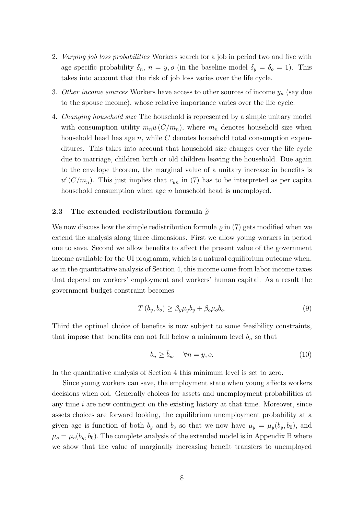- 2. Varying job loss probabilities Workers search for a job in period two and five with age specific probability  $\delta_n$ ,  $n = y$ , o (in the baseline model  $\delta_y = \delta_o = 1$ ). This takes into account that the risk of job loss varies over the life cycle.
- 3. Other income sources Workers have access to other sources of income  $y_n$  (say due to the spouse income), whose relative importance varies over the life cycle.
- 4. Changing household size The household is represented by a simple unitary model with consumption utility  $m_nu(C/m_n)$ , where  $m_n$  denotes household size when household head has age  $n$ , while  $C$  denotes household total consumption expenditures. This takes into account that household size changes over the life cycle due to marriage, children birth or old children leaving the household. Due again to the envelope theorem, the marginal value of a unitary increase in benefits is  $u'(C/m_n)$ . This just implies that  $c_{un}$  in (7) has to be interpreted as per capita household consumption when age n household head is unemployed.

## 2.3 The extended redistribution formula  $\tilde{\varrho}$

We now discuss how the simple redistribution formula  $\rho$  in (7) gets modified when we extend the analysis along three dimensions. First we allow young workers in period one to save. Second we allow benefits to affect the present value of the government income available for the UI programm, which is a natural equilibrium outcome when, as in the quantitative analysis of Section 4, this income come from labor income taxes that depend on workers' employment and workers' human capital. As a result the government budget constraint becomes

$$
T(b_y, b_o) \ge \beta_y \mu_y b_y + \beta_o \mu_o b_o. \tag{9}
$$

Third the optimal choice of benefits is now subject to some feasibility constraints, that impose that benefits can not fall below a minimum level  $\bar{b}_n$  so that

$$
b_n \ge \bar{b}_n, \quad \forall n = y, o. \tag{10}
$$

In the quantitative analysis of Section 4 this minimum level is set to zero.

Since young workers can save, the employment state when young affects workers decisions when old. Generally choices for assets and unemployment probabilities at any time  $i$  are now contingent on the existing history at that time. Moreover, since assets choices are forward looking, the equilibrium unemployment probability at a given age is function of both  $b_y$  and  $b_o$  so that we now have  $\mu_y = \mu_y(b_y, b_0)$ , and  $\mu_o = \mu_o(b_y, b_0)$ . The complete analysis of the extended model is in Appendix B where we show that the value of marginally increasing benefit transfers to unemployed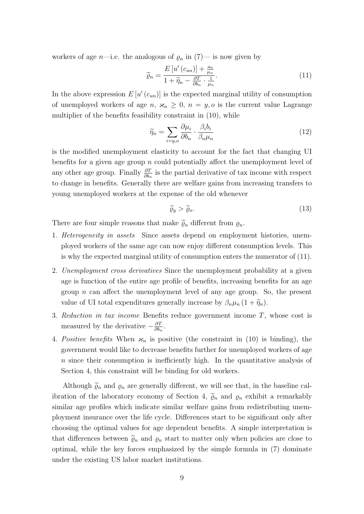workers of age *n*—i.e. the analogous of  $\varrho_n$  in (7)— is now given by

$$
\widetilde{\varrho}_n = \frac{E\left[u'\left(c_{un}\right)\right] + \frac{\varkappa_n}{\mu_n}}{1 + \widetilde{\eta}_n - \frac{\partial T}{\partial b_n} \cdot \frac{1}{\mu_n}}.\tag{11}
$$

In the above expression  $E[u'(c_{un})]$  is the expected marginal utility of consumption of unemployed workers of age n,  $\varkappa_n \geq 0$ ,  $n = y$ , o is the current value Lagrange multiplier of the benefits feasibility constraint in (10), while

$$
\widetilde{\eta}_n = \sum_{i=y,o} \frac{\partial \mu_i}{\partial b_n} \cdot \frac{\beta_i b_i}{\beta_n \mu_n} \tag{12}
$$

is the modified unemployment elasticity to account for the fact that changing UI benefits for a given age group  $n$  could potentially affect the unemployment level of any other age group. Finally  $\frac{\partial T}{\partial b_n}$  is the partial derivative of tax income with respect to change in benefits. Generally there are welfare gains from increasing transfers to young unemployed workers at the expense of the old whenever

$$
\widetilde{\varrho}_y > \widetilde{\varrho}_o. \tag{13}
$$

There are four simple reasons that make  $\tilde{\varrho}_n$  different from  $\varrho_n$ .

- 1. *Heterogeneity in assets* Since assets depend on employment histories, unemployed workers of the same age can now enjoy different consumption levels. This is why the expected marginal utility of consumption enters the numerator of (11).
- 2. Unemployment cross derivatives Since the unemployment probability at a given age is function of the entire age profile of benefits, increasing benefits for an age group *n* can affect the unemployment level of any age group. So, the present value of UI total expenditures generally increase by  $\beta_n \mu_n (1 + \widetilde{\eta}_n)$ .
- 3. Reduction in tax income Benefits reduce government income T, whose cost is measured by the derivative  $-\frac{\partial T}{\partial h}$  $\frac{\partial T}{\partial b_n}$ .
- 4. Positive benefits When  $\varkappa_n$  is positive (the constraint in (10) is binding), the government would like to decrease benefits further for unemployed workers of age n since their consumption is inefficiently high. In the quantitative analysis of Section 4, this constraint will be binding for old workers.

Although  $\tilde{\varrho}_n$  and  $\varrho_n$  are generally different, we will see that, in the baseline calibration of the laboratory economy of Section 4,  $\widetilde{\varrho}_n$  and  $\varrho_n$  exhibit a remarkably similar age profiles which indicate similar welfare gains from redistributing unemployment insurance over the life cycle. Differences start to be significant only after choosing the optimal values for age dependent benefits. A simple interpretation is that differences between  $\tilde{\varrho}_n$  and  $\varrho_n$  start to matter only when policies are close to optimal, while the key forces emphasized by the simple formula in (7) dominate under the existing US labor market institutions.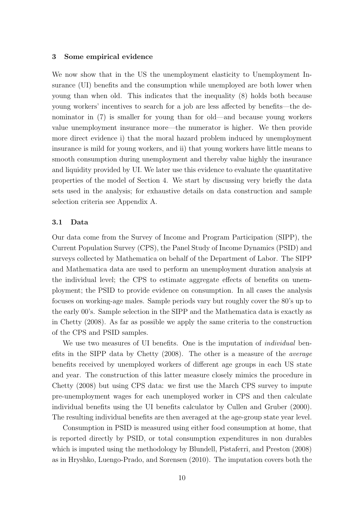#### 3 Some empirical evidence

We now show that in the US the unemployment elasticity to Unemployment Insurance (UI) benefits and the consumption while unemployed are both lower when young than when old. This indicates that the inequality (8) holds both because young workers' incentives to search for a job are less affected by benefits—the denominator in (7) is smaller for young than for old—and because young workers value unemployment insurance more—the numerator is higher. We then provide more direct evidence i) that the moral hazard problem induced by unemployment insurance is mild for young workers, and ii) that young workers have little means to smooth consumption during unemployment and thereby value highly the insurance and liquidity provided by UI. We later use this evidence to evaluate the quantitative properties of the model of Section 4. We start by discussing very briefly the data sets used in the analysis; for exhaustive details on data construction and sample selection criteria see Appendix A.

#### 3.1 Data

Our data come from the Survey of Income and Program Participation (SIPP), the Current Population Survey (CPS), the Panel Study of Income Dynamics (PSID) and surveys collected by Mathematica on behalf of the Department of Labor. The SIPP and Mathematica data are used to perform an unemployment duration analysis at the individual level; the CPS to estimate aggregate effects of benefits on unemployment; the PSID to provide evidence on consumption. In all cases the analysis focuses on working-age males. Sample periods vary but roughly cover the 80's up to the early 00's. Sample selection in the SIPP and the Mathematica data is exactly as in Chetty (2008). As far as possible we apply the same criteria to the construction of the CPS and PSID samples.

We use two measures of UI benefits. One is the imputation of *individual* benefits in the SIPP data by Chetty (2008). The other is a measure of the average benefits received by unemployed workers of different age groups in each US state and year. The construction of this latter measure closely mimics the procedure in Chetty (2008) but using CPS data: we first use the March CPS survey to impute pre-unemployment wages for each unemployed worker in CPS and then calculate individual benefits using the UI benefits calculator by Cullen and Gruber (2000). The resulting individual benefits are then averaged at the age-group state year level.

Consumption in PSID is measured using either food consumption at home, that is reported directly by PSID, or total consumption expenditures in non durables which is imputed using the methodology by Blundell, Pistaferri, and Preston (2008) as in Hryshko, Luengo-Prado, and Sorensen (2010). The imputation covers both the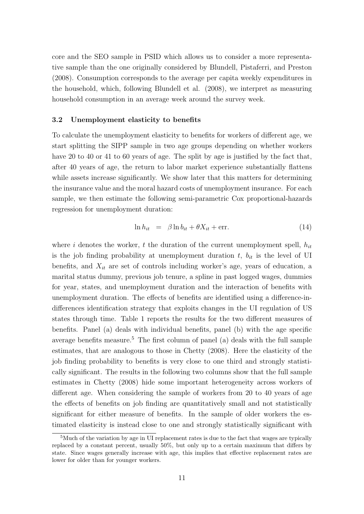core and the SEO sample in PSID which allows us to consider a more representative sample than the one originally considered by Blundell, Pistaferri, and Preston (2008). Consumption corresponds to the average per capita weekly expenditures in the household, which, following Blundell et al. (2008), we interpret as measuring household consumption in an average week around the survey week.

## 3.2 Unemployment elasticity to benefits

To calculate the unemployment elasticity to benefits for workers of different age, we start splitting the SIPP sample in two age groups depending on whether workers have 20 to 40 or 41 to 60 years of age. The split by age is justified by the fact that, after 40 years of age, the return to labor market experience substantially flattens while assets increase significantly. We show later that this matters for determining the insurance value and the moral hazard costs of unemployment insurance. For each sample, we then estimate the following semi-parametric Cox proportional-hazards regression for unemployment duration:

$$
\ln h_{it} = \beta \ln b_{it} + \theta X_{it} + \text{err}.
$$
\n(14)

where i denotes the worker, t the duration of the current unemployment spell,  $h_{it}$ is the job finding probability at unemployment duration  $t$ ,  $b_{it}$  is the level of UI benefits, and  $X_{it}$  are set of controls including worker's age, years of education, a marital status dummy, previous job tenure, a spline in past logged wages, dummies for year, states, and unemployment duration and the interaction of benefits with unemployment duration. The effects of benefits are identified using a difference-indifferences identification strategy that exploits changes in the UI regulation of US states through time. Table 1 reports the results for the two different measures of benefits. Panel (a) deals with individual benefits, panel (b) with the age specific average benefits measure.<sup>5</sup> The first column of panel (a) deals with the full sample estimates, that are analogous to those in Chetty (2008). Here the elasticity of the job finding probability to benefits is very close to one third and strongly statistically significant. The results in the following two columns show that the full sample estimates in Chetty (2008) hide some important heterogeneity across workers of different age. When considering the sample of workers from 20 to 40 years of age the effects of benefits on job finding are quantitatively small and not statistically significant for either measure of benefits. In the sample of older workers the estimated elasticity is instead close to one and strongly statistically significant with

<sup>&</sup>lt;sup>5</sup>Much of the variation by age in UI replacement rates is due to the fact that wages are typically replaced by a constant percent, usually 50%, but only up to a certain maximum that differs by state. Since wages generally increase with age, this implies that effective replacement rates are lower for older than for younger workers.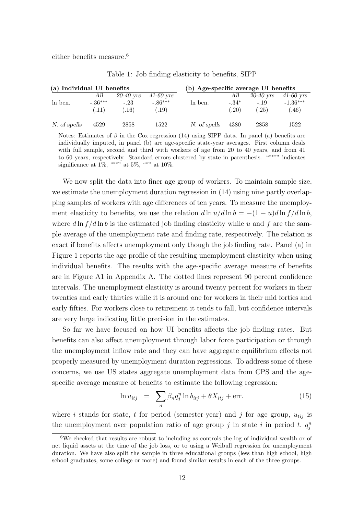either benefits measure.<sup>6</sup>

| (a) Individual UI benefits |                     |                |                     | (b) Age-specific average UI benefits |                 |                |                     |
|----------------------------|---------------------|----------------|---------------------|--------------------------------------|-----------------|----------------|---------------------|
|                            | AШ                  | $20-40$ yrs    | $41-60$ yrs         |                                      | All             | $20-40$ yrs    | $41-60$ yrs         |
| ln ben.                    | $-.36***$<br>(0.11) | $-.23$<br>.16) | $-.86***$<br>(0.19) | In ben.                              | $-.34*$<br>(20) | $-.19$<br>(25) | $-1.36***$<br>(.46) |
| N. of spells               | 4529                | 2858           | 1522                | N. of spells                         | 4380            | 2858           | 1522                |

Table 1: Job finding elasticity to benefits, SIPP

Notes: Estimates of  $\beta$  in the Cox regression (14) using SIPP data. In panel (a) benefits are individually imputed, in panel (b) are age-specific state-year averages. First column deals with full sample, second and third with workers of age from 20 to 40 years, and from 41 to 60 years, respectively. Standard errors clustered by state in parenthesis. "∗∗∗" indicates significance at 1%, "\*\*" at 5%, "\*" at 10%.

We now split the data into finer age group of workers. To maintain sample size, we estimate the unemployment duration regression in (14) using nine partly overlapping samples of workers with age differences of ten years. To measure the unemployment elasticity to benefits, we use the relation  $d \ln u / d \ln b = -(1 - u) d \ln f / d \ln b$ , where d ln  $f/d \ln b$  is the estimated job finding elasticity while u and f are the sample average of the unemployment rate and finding rate, respectively. The relation is exact if benefits affects unemployment only though the job finding rate. Panel (a) in Figure 1 reports the age profile of the resulting unemployment elasticity when using individual benefits. The results with the age-specific average measure of benefits are in Figure A1 in Appendix A. The dotted lines represent 90 percent confidence intervals. The unemployment elasticity is around twenty percent for workers in their twenties and early thirties while it is around one for workers in their mid forties and early fifties. For workers close to retirement it tends to fall, but confidence intervals are very large indicating little precision in the estimates.

So far we have focused on how UI benefits affects the job finding rates. But benefits can also affect unemployment through labor force participation or through the unemployment inflow rate and they can have aggregate equilibrium effects not properly measured by unemployment duration regressions. To address some of these concerns, we use US states aggregate unemployment data from CPS and the agespecific average measure of benefits to estimate the following regression:

$$
\ln u_{itj} = \sum_{n} \beta_n q_j^n \ln b_{itj} + \theta X_{itj} + \text{err.}
$$
\n(15)

where i stands for state, t for period (semester-year) and j for age group,  $u_{tij}$  is the unemployment over population ratio of age group j in state i in period t,  $q_j^n$ 

 $6$ We checked that results are robust to including as controls the log of individual wealth or of net liquid assets at the time of the job loss, or to using a Weibull regression for unemployment duration. We have also split the sample in three educational groups (less than high school, high school graduates, some college or more) and found similar results in each of the three groups.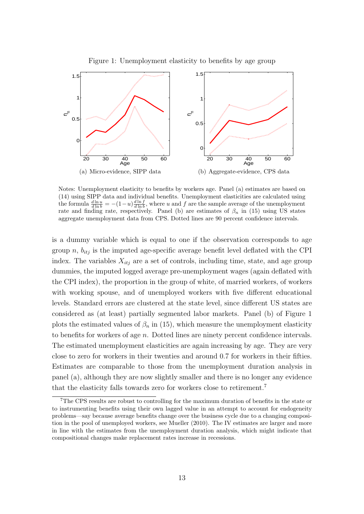

Figure 1: Unemployment elasticity to benefits by age group

Notes: Unemployment elasticity to benefits by workers age. Panel (a) estimates are based on (14) using SIPP data and individual benefits. Unemployment elasticities are calculated using the formula  $\frac{d \ln u}{d \ln b} = -(1-u)\frac{d \ln f}{d \ln b}$ , where u and f are the sample average of the unemployment rate and finding rate, respectively. Panel (b) are estimates of  $\beta_n$  in (15) using US states aggregate unemployment data from CPS. Dotted lines are 90 percent confidence intervals.

is a dummy variable which is equal to one if the observation corresponds to age group n,  $b_{itj}$  is the imputed age-specific average benefit level deflated with the CPI index. The variables  $X_{itj}$  are a set of controls, including time, state, and age group dummies, the imputed logged average pre-unemployment wages (again deflated with the CPI index), the proportion in the group of white, of married workers, of workers with working spouse, and of unemployed workers with five different educational levels. Standard errors are clustered at the state level, since different US states are considered as (at least) partially segmented labor markets. Panel (b) of Figure 1 plots the estimated values of  $\beta_n$  in (15), which measure the unemployment elasticity to benefits for workers of age  $n$ . Dotted lines are ninety percent confidence intervals. The estimated unemployment elasticities are again increasing by age. They are very close to zero for workers in their twenties and around 0.7 for workers in their fifties. Estimates are comparable to those from the unemployment duration analysis in panel (a), although they are now slightly smaller and there is no longer any evidence that the elasticity falls towards zero for workers close to retirement.<sup>7</sup>

<sup>7</sup>The CPS results are robust to controlling for the maximum duration of benefits in the state or to instrumenting benefits using their own lagged value in an attempt to account for endogeneity problems—say because average benefits change over the business cycle due to a changing composition in the pool of unemployed workers, see Mueller (2010). The IV estimates are larger and more in line with the estimates from the unemployment duration analysis, which might indicate that compositional changes make replacement rates increase in recessions.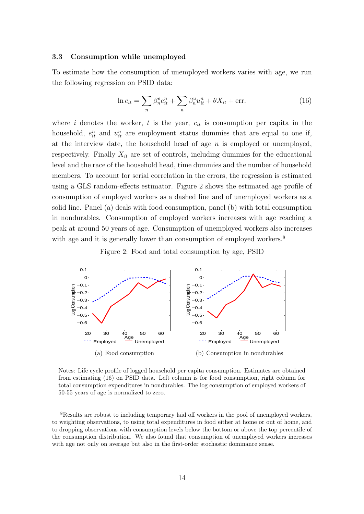## 3.3 Consumption while unemployed

To estimate how the consumption of unemployed workers varies with age, we run the following regression on PSID data:

$$
\ln c_{it} = \sum_{n} \beta_n^e e_{it}^n + \sum_{n} \beta_n^u u_{it}^n + \theta X_{it} + \text{err.}
$$
\n(16)

where i denotes the worker, t is the year,  $c_{it}$  is consumption per capita in the household,  $e_{it}^n$  and  $u_{it}^n$  are employment status dummies that are equal to one if, at the interview date, the household head of age  $n$  is employed or unemployed, respectively. Finally  $X_{it}$  are set of controls, including dummies for the educational level and the race of the household head, time dummies and the number of household members. To account for serial correlation in the errors, the regression is estimated using a GLS random-effects estimator. Figure 2 shows the estimated age profile of consumption of employed workers as a dashed line and of unemployed workers as a solid line. Panel (a) deals with food consumption, panel (b) with total consumption in nondurables. Consumption of employed workers increases with age reaching a peak at around 50 years of age. Consumption of unemployed workers also increases with age and it is generally lower than consumption of employed workers.<sup>8</sup>

Figure 2: Food and total consumption by age, PSID



Notes: Life cycle profile of logged household per capita consumption. Estimates are obtained from estimating (16) on PSID data. Left column is for food consumption, right column for total consumption expenditures in nondurables. The log consumption of employed workers of 50-55 years of age is normalized to zero.

<sup>&</sup>lt;sup>8</sup>Results are robust to including temporary laid off workers in the pool of unemployed workers, to weighting observations, to using total expenditures in food either at home or out of home, and to dropping observations with consumption levels below the bottom or above the top percentile of the consumption distribution. We also found that consumption of unemployed workers increases with age not only on average but also in the first-order stochastic dominance sense.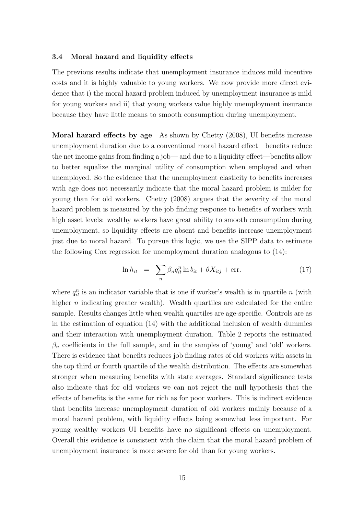#### 3.4 Moral hazard and liquidity effects

The previous results indicate that unemployment insurance induces mild incentive costs and it is highly valuable to young workers. We now provide more direct evidence that i) the moral hazard problem induced by unemployment insurance is mild for young workers and ii) that young workers value highly unemployment insurance because they have little means to smooth consumption during unemployment.

Moral hazard effects by age As shown by Chetty (2008), UI benefits increase unemployment duration due to a conventional moral hazard effect—benefits reduce the net income gains from finding a job— and due to a liquidity effect—benefits allow to better equalize the marginal utility of consumption when employed and when unemployed. So the evidence that the unemployment elasticity to benefits increases with age does not necessarily indicate that the moral hazard problem is milder for young than for old workers. Chetty (2008) argues that the severity of the moral hazard problem is measured by the job finding response to benefits of workers with high asset levels: wealthy workers have great ability to smooth consumption during unemployment, so liquidity effects are absent and benefits increase unemployment just due to moral hazard. To pursue this logic, we use the SIPP data to estimate the following Cox regression for unemployment duration analogous to (14):

$$
\ln h_{it} = \sum_{n} \beta_n q_{it}^n \ln b_{it} + \theta X_{itj} + \text{err.}
$$
\n(17)

where  $q_{it}^n$  is an indicator variable that is one if worker's wealth is in quartile n (with higher  $n$  indicating greater wealth). Wealth quartiles are calculated for the entire sample. Results changes little when wealth quartiles are age-specific. Controls are as in the estimation of equation (14) with the additional inclusion of wealth dummies and their interaction with unemployment duration. Table 2 reports the estimated  $\beta_n$  coefficients in the full sample, and in the samples of 'young' and 'old' workers. There is evidence that benefits reduces job finding rates of old workers with assets in the top third or fourth quartile of the wealth distribution. The effects are somewhat stronger when measuring benefits with state averages. Standard significance tests also indicate that for old workers we can not reject the null hypothesis that the effects of benefits is the same for rich as for poor workers. This is indirect evidence that benefits increase unemployment duration of old workers mainly because of a moral hazard problem, with liquidity effects being somewhat less important. For young wealthy workers UI benefits have no significant effects on unemployment. Overall this evidence is consistent with the claim that the moral hazard problem of unemployment insurance is more severe for old than for young workers.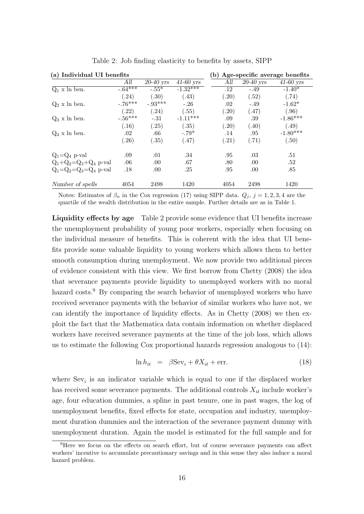| (a) Individual UI benefits    |            |                         |                        | (b) Age-specific average benefits |             |             |
|-------------------------------|------------|-------------------------|------------------------|-----------------------------------|-------------|-------------|
|                               | All        | $\overline{20}$ -40 yrs | $\overline{41-60}$ yrs | All                               | $20-40$ yrs | $41-60$ yrs |
| $Q_1$ x ln ben.               | $-0.64***$ | $-.55*$                 | $-1.32***$             | .12                               | $-.49$      | $-1.40*$    |
|                               | (0.24)     | (.30)                   | (.43)                  | (.20)                             | (.52)       | (.74)       |
| $Q_2$ x ln ben.               | $-.76***$  | $-.93***$               | $-.26$                 | .02                               | $-.49$      | $-1.62*$    |
|                               | $^{'}.22)$ | (.24)                   | (.55)                  | (.20)                             | (.47)       | (.96)       |
| $Q_3$ x ln ben.               | $-.56***$  | $-.31$                  | $-1.11***$             | .09                               | .39         | $-1.86***$  |
|                               | (.16)      | (.25)                   | (.35)                  | (.20)                             | (.40)       | (.49)       |
| $Q_4$ x ln ben.               | .02        | .66                     | $-.79*$                | .14                               | .95         | $-1.80***$  |
|                               | $^{'}.26)$ | (.35)                   | (.47)                  | (.21)                             | (.71)       | (.50)       |
| $Q_1 = Q_4$ p-val             | .09        | .01                     | .34                    | .95                               | .03         | .51         |
| $Q_1+Q_2=Q_3+Q_4$ p-val       | .06        | .00                     | .67                    | .80                               | .00         | .52         |
| $Q_1 = Q_2 = Q_3 = Q_4$ p-val | .18        | .00                     | .25                    | .95                               | .00         | .85         |
| Number of spells              | 4054       | 2498                    | 1420                   | 4054                              | 2498        | 1420        |

Table 2: Job finding elasticity to benefits by assets, SIPP

Notes: Estimates of  $\beta_n$  in the Cox regression (17) using SIPP data.  $Q_j$ ,  $j = 1, 2, 3, 4$  are the quartile of the wealth distribution in the entire sample. Further details are as in Table 1.

Liquidity effects by age Table 2 provide some evidence that UI benefits increase the unemployment probability of young poor workers, especially when focusing on the individual measure of benefits. This is coherent with the idea that UI benefits provide some valuable liquidity to young workers which allows them to better smooth consumption during unemployment. We now provide two additional pieces of evidence consistent with this view. We first borrow from Chetty (2008) the idea that severance payments provide liquidity to unemployed workers with no moral hazard costs.<sup>9</sup> By comparing the search behavior of unemployed workers who have received severance payments with the behavior of similar workers who have not, we can identify the importance of liquidity effects. As in Chetty (2008) we then exploit the fact that the Mathematica data contain information on whether displaced workers have received severance payments at the time of the job loss, which allows us to estimate the following Cox proportional hazards regression analogous to (14):

$$
\ln h_{it} = \beta \text{Sev}_i + \theta X_{it} + \text{err}.
$$
\n(18)

where  $Sev_i$  is an indicator variable which is equal to one if the displaced worker has received some severance payments. The additional controls  $X_{it}$  include worker's age, four education dummies, a spline in past tenure, one in past wages, the log of unemployment benefits, fixed effects for state, occupation and industry, unemployment duration dummies and the interaction of the severance payment dummy with unemployment duration. Again the model is estimated for the full sample and for

<sup>9</sup>Here we focus on the effects on search effort, but of course severance payments can affect workers' incentive to accumulate precautionary savings and in this sense they also induce a moral hazard problem.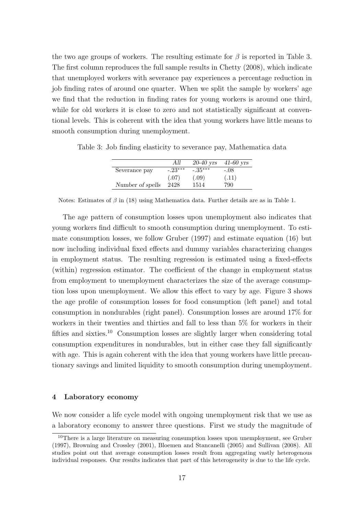the two age groups of workers. The resulting estimate for  $\beta$  is reported in Table 3. The first column reproduces the full sample results in Chetty (2008), which indicate that unemployed workers with severance pay experiences a percentage reduction in job finding rates of around one quarter. When we split the sample by workers' age we find that the reduction in finding rates for young workers is around one third, while for old workers it is close to zero and not statistically significant at conventional levels. This is coherent with the idea that young workers have little means to smooth consumption during unemployment.

|                  | All       | $20-40$ yrs | $41-60$ yrs |
|------------------|-----------|-------------|-------------|
| Severance pay    | $-.23***$ | $-.35***$   | $-.08$      |
|                  | (.07)     | (.09)       | (.11)       |
| Number of spells | 2428      | 1514        | 790         |

Table 3: Job finding elasticity to severance pay, Mathematica data

Notes: Estimates of  $\beta$  in (18) using Mathematica data. Further details are as in Table 1.

The age pattern of consumption losses upon unemployment also indicates that young workers find difficult to smooth consumption during unemployment. To estimate consumption losses, we follow Gruber (1997) and estimate equation (16) but now including individual fixed effects and dummy variables characterizing changes in employment status. The resulting regression is estimated using a fixed-effects (within) regression estimator. The coefficient of the change in employment status from employment to unemployment characterizes the size of the average consumption loss upon unemployment. We allow this effect to vary by age. Figure 3 shows the age profile of consumption losses for food consumption (left panel) and total consumption in nondurables (right panel). Consumption losses are around 17% for workers in their twenties and thirties and fall to less than 5% for workers in their fifties and sixties.<sup>10</sup> Consumption losses are slightly larger when considering total consumption expenditures in nondurables, but in either case they fall significantly with age. This is again coherent with the idea that young workers have little precautionary savings and limited liquidity to smooth consumption during unemployment.

## 4 Laboratory economy

We now consider a life cycle model with ongoing unemployment risk that we use as a laboratory economy to answer three questions. First we study the magnitude of

<sup>10</sup>There is a large literature on measuring consumption losses upon unemployment, see Gruber (1997), Browning and Crossley (2001), Bloemen and Stancanelli (2005) and Sullivan (2008). All studies point out that average consumption losses result from aggregating vastly heterogenous individual responses. Our results indicates that part of this heterogeneity is due to the life cycle.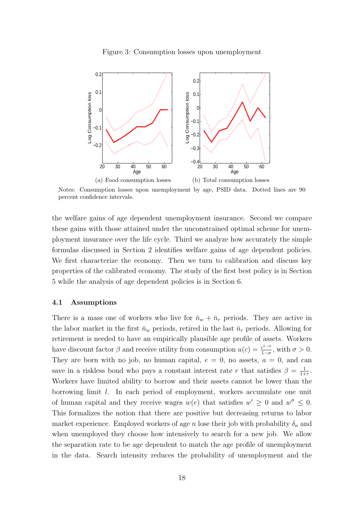Figure 3: Consumption losses upon unemployment



Notes: Consumption losses upon unemployment by age, PSID data. Dotted lines are 90 percent confidence intervals.

the welfare gains of age dependent unemployment insurance. Second we compare these gains with those attained under the unconstrained optimal scheme for unemployment insurance over the life cycle. Third we analyze how accurately the simple formulas discussed in Section 2 identifies welfare gains of age dependent policies. We first characterize the economy. Then we turn to calibration and discuss key properties of the calibrated economy. The study of the first best policy is in Section 5 while the analysis of age dependent policies is in Section 6.

## 4.1 Assumptions

There is a mass one of workers who live for  $\bar{n}_w + \bar{n}_r$  periods. They are active in the labor market in the first  $\bar{n}_w$  periods, retired in the last  $\bar{n}_r$  periods. Allowing for retirement is needed to have an empirically plausible age profile of assets. Workers have discount factor  $\beta$  and receive utility from consumption  $u(c) = \frac{c^{1-\sigma}}{1-\sigma}$  $\frac{c^{1-\sigma}}{1-\sigma}$ , with  $\sigma > 0$ . They are born with no job, no human capital,  $e = 0$ , no assets,  $a = 0$ , and can save in a riskless bond who pays a constant interest rate r that satisfies  $\beta = \frac{1}{1+}$  $\frac{1}{1+r}$ . Workers have limited ability to borrow and their assets cannot be lower than the borrowing limit l. In each period of employment, workers accumulate one unit of human capital and they receive wages  $w(e)$  that satisfies  $w' \geq 0$  and  $w'' \leq 0$ . This formalizes the notion that there are positive but decreasing returns to labor market experience. Employed workers of age n lose their job with probability  $\delta_n$  and when unemployed they choose how intensively to search for a new job. We allow the separation rate to be age dependent to match the age profile of unemployment in the data. Search intensity reduces the probability of unemployment and the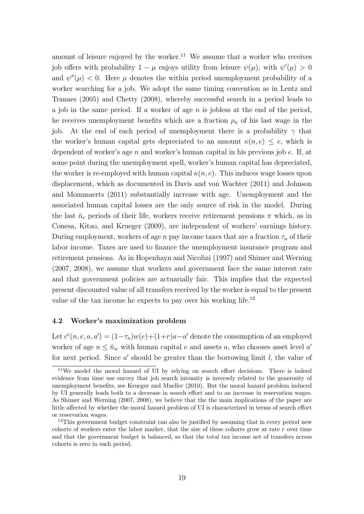amount of leisure enjoyed by the worker.<sup>11</sup> We assume that a worker who receives job offers with probability  $1 - \mu$  enjoys utility from leisure  $\psi(\mu)$ , with  $\psi'(\mu) > 0$ and  $\psi''(\mu)$  < 0. Here  $\mu$  denotes the within period unemployment probability of a worker searching for a job. We adopt the same timing convention as in Lentz and Tranaes (2005) and Chetty (2008), whereby successful search in a period leads to a job in the same period. If a worker of age  $n$  is jobless at the end of the period, he receives unemployment benefits which are a fraction  $\rho_n$  of his last wage in the job. At the end of each period of unemployment there is a probability  $\gamma$  that the worker's human capital gets depreciated to an amount  $\kappa(n, e) \leq e$ , which is dependent of worker's age  $n$  and worker's human capital in his previous job  $e$ . If, at some point during the unemployment spell, worker's human capital has depreciated, the worker is re-employed with human capital  $\kappa(n, e)$ . This induces wage losses upon displacement, which as documented in Davis and von Wachter (2011) and Johnson and Mommaerts (2011) substantially increase with age. Unemployment and the associated human capital losses are the only source of risk in the model. During the last  $\bar{n}_r$  periods of their life, workers receive retirement pensions  $\pi$  which, as in Conesa, Kitao, and Krueger (2009), are independent of workers' earnings history. During employment, workers of age n pay income taxes that are a fraction  $\tau_n$  of their labor income. Taxes are used to finance the unemployment insurance program and retirement pensions. As in Hopenhayn and Nicolini (1997) and Shimer and Werning (2007, 2008), we assume that workers and government face the same interest rate and that government policies are actuarially fair. This implies that the expected present discounted value of all transfers received by the worker is equal to the present value of the tax income he expects to pay over his working life.<sup>12</sup>

## 4.2 Worker's maximization problem

Let  $c^{e}(n, e, a, a') = (1 - \tau_n)w(e) + (1 + r)a - a'$  denote the consumption of an employed worker of age  $n \leq \bar{n}_w$  with human capital e and assets a, who chooses asset level a' for next period. Since  $a'$  should be greater than the borrowing limit  $l$ , the value of

<sup>&</sup>lt;sup>11</sup>We model the moral hazard of UI by relying on search effort decisions. There is indeed evidence from time use survey that job search intensity is inversely related to the generosity of unemployment benefits, see Krueger and Mueller (2010). But the moral hazard problem induced by UI generally leads both to a decrease in search effort and to an increase in reservation wages. As Shimer and Werning (2007, 2008), we believe that the the main implications of the paper are little affected by whether the moral hazard problem of UI is characterized in terms of search effort or reservation wages.

 $12$ This government budget constraint can also be justified by assuming that in every period new cohorts of workers enter the labor market, that the size of these cohorts grow at rate  $r$  over time and that the government budget is balanced, so that the total tax income net of transfers across cohorts is zero in each period.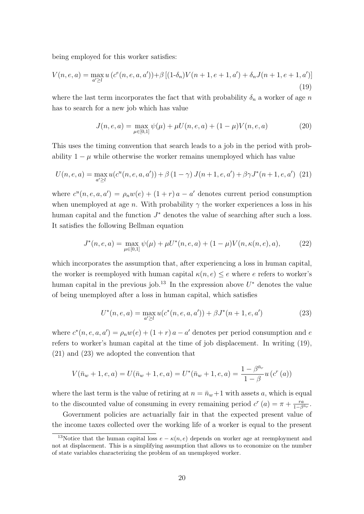being employed for this worker satisfies:

$$
V(n, e, a) = \max_{a' \ge l} u(c^{e}(n, e, a, a')) + \beta [(1-\delta_{n})V(n+1, e+1, a') + \delta_{n}J(n+1, e+1, a')]
$$
\n(19)

where the last term incorporates the fact that with probability  $\delta_n$  a worker of age n has to search for a new job which has value

$$
J(n, e, a) = \max_{\mu \in [0, 1]} \psi(\mu) + \mu U(n, e, a) + (1 - \mu)V(n, e, a)
$$
 (20)

This uses the timing convention that search leads to a job in the period with probability  $1 - \mu$  while otherwise the worker remains unemployed which has value

$$
U(n, e, a) = \max_{a' \ge l} u(c^u(n, e, a, a')) + \beta (1 - \gamma) J(n + 1, e, a') + \beta \gamma J^*(n + 1, e, a') \tag{21}
$$

where  $c^u(n, e, a, a') = \rho_n w(e) + (1 + r)a - a'$  denotes current period consumption when unemployed at age *n*. With probability  $\gamma$  the worker experiences a loss in his human capital and the function  $J^*$  denotes the value of searching after such a loss. It satisfies the following Bellman equation

$$
J^*(n, e, a) = \max_{\mu \in [0, 1]} \psi(\mu) + \mu U^*(n, e, a) + (1 - \mu)V(n, \kappa(n, e), a), \tag{22}
$$

which incorporates the assumption that, after experiencing a loss in human capital, the worker is reemployed with human capital  $\kappa(n, e) \leq e$  where e refers to worker's human capital in the previous job.<sup>13</sup> In the expression above  $U^*$  denotes the value of being unemployed after a loss in human capital, which satisfies

$$
U^*(n, e, a) = \max_{a' \ge l} u(c^*(n, e, a, a')) + \beta J^*(n + 1, e, a')
$$
 (23)

where  $c^*(n, e, a, a') = \rho_n w(e) + (1+r) a - a'$  denotes per period consumption and e refers to worker's human capital at the time of job displacement. In writing (19), (21) and (23) we adopted the convention that

$$
V(\bar{n}_w + 1, e, a) = U(\bar{n}_w + 1, e, a) = U^*(\bar{n}_w + 1, e, a) = \frac{1 - \beta^{\bar{n}_r}}{1 - \beta} u(c^r(a))
$$

where the last term is the value of retiring at  $n = \bar{n}_w + 1$  with assets a, which is equal to the discounted value of consuming in every remaining period  $c^r(a) = \pi + \frac{ra}{1-a}$  $\frac{ra}{1-\beta^{\bar n_r}}$ .

Government policies are actuarially fair in that the expected present value of the income taxes collected over the working life of a worker is equal to the present

<sup>&</sup>lt;sup>13</sup>Notice that the human capital loss  $e - \kappa(n, e)$  depends on worker age at reemployment and not at displacement. This is a simplifying assumption that allows us to economize on the number of state variables characterizing the problem of an unemployed worker.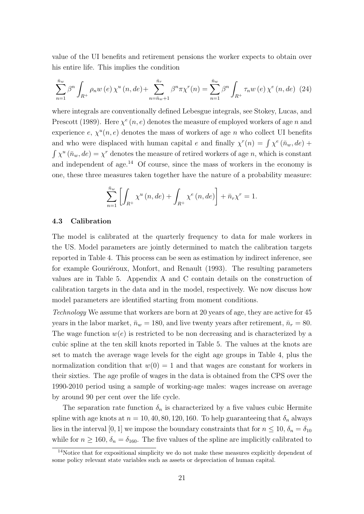value of the UI benefits and retirement pensions the worker expects to obtain over his entire life. This implies the condition

$$
\sum_{n=1}^{\bar{n}_w} \beta^n \int_{R^+} \rho_n w(e) \, \chi^u(n, de) + \sum_{n=\bar{n}_w+1}^{\bar{n}_r} \beta^n \pi \chi^r(n) = \sum_{n=1}^{\bar{n}_w} \beta^n \int_{R^+} \tau_n w(e) \, \chi^e(n, de) \tag{24}
$$

where integrals are conventionally defined Lebesgue integrals, see Stokey, Lucas, and Prescott (1989). Here  $\chi^e(n, e)$  denotes the measure of employed workers of age n and experience  $e, \chi^u(n, e)$  denotes the mass of workers of age n who collect UI benefits and who were displaced with human capital e and finally  $\chi^r(n) = \int \chi^e(\bar{n}_w, de) +$  $\int \chi^u (\bar{n}_w, de) = \chi^r$  denotes the measure of retired workers of age n, which is constant and independent of age.<sup>14</sup> Of course, since the mass of workers in the economy is one, these three measures taken together have the nature of a probability measure:

$$
\sum_{n=1}^{\bar{n}_w} \left[ \int_{R^+} \chi^u(n, de) + \int_{R^+} \chi^e(n, de) \right] + \bar{n}_r \chi^r = 1.
$$

## 4.3 Calibration

The model is calibrated at the quarterly frequency to data for male workers in the US. Model parameters are jointly determined to match the calibration targets reported in Table 4. This process can be seen as estimation by indirect inference, see for example Gouriéroux, Monfort, and Renault (1993). The resulting parameters values are in Table 5. Appendix A and C contain details on the construction of calibration targets in the data and in the model, respectively. We now discuss how model parameters are identified starting from moment conditions.

Technology We assume that workers are born at 20 years of age, they are active for 45 years in the labor market,  $\bar{n}_w = 180$ , and live twenty years after retirement,  $\bar{n}_r = 80$ . The wage function  $w(e)$  is restricted to be non decreasing and is characterized by a cubic spline at the ten skill knots reported in Table 5. The values at the knots are set to match the average wage levels for the eight age groups in Table 4, plus the normalization condition that  $w(0) = 1$  and that wages are constant for workers in their sixties. The age profile of wages in the data is obtained from the CPS over the 1990-2010 period using a sample of working-age males: wages increase on average by around 90 per cent over the life cycle.

The separation rate function  $\delta_n$  is characterized by a five values cubic Hermite spline with age knots at  $n = 10, 40, 80, 120, 160$ . To help guaranteeing that  $\delta_n$  always lies in the interval [0, 1] we impose the boundary constraints that for  $n \leq 10$ ,  $\delta_n = \delta_{10}$ while for  $n \ge 160$ ,  $\delta_n = \delta_{160}$ . The five values of the spline are implicitly calibrated to

<sup>&</sup>lt;sup>14</sup>Notice that for expositional simplicity we do not make these measures explicitly dependent of some policy relevant state variables such as assets or depreciation of human capital.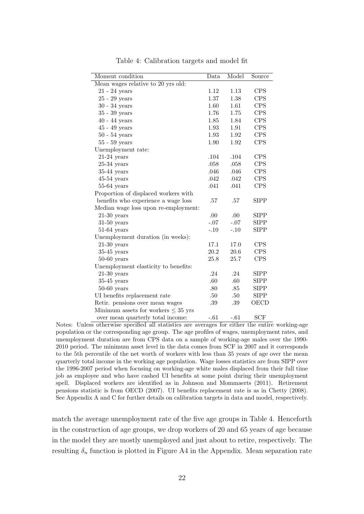| Moment condition                         | Data    | Model   | Source      |
|------------------------------------------|---------|---------|-------------|
| Mean wages relative to 20 yrs old:       |         |         |             |
| $21 - 24$ years                          | 1.12    | 1.13    | <b>CPS</b>  |
| $25 - 29$ years                          | 1.37    | 1.38    | <b>CPS</b>  |
| $30 - 34$ years                          | 1.60    | 1.61    | <b>CPS</b>  |
| $35 - 39$ years                          | 1.76    | 1.75    | <b>CPS</b>  |
| $40 - 44$ years                          | 1.85    | 1.84    | <b>CPS</b>  |
| $45 - 49$ years                          | 1.93    | 1.91    | <b>CPS</b>  |
| $50 - 54$ years                          | 1.93    | 1.92    | <b>CPS</b>  |
| $55 - 59$ years                          | 1.90    | 1.92    | <b>CPS</b>  |
| Unemployment rate:                       |         |         |             |
| $21-24$ years                            | .104    | .104    | <b>CPS</b>  |
| $25-34$ years                            | .058    | .058    | <b>CPS</b>  |
| $35-44$ years                            | .046    | .046    | <b>CPS</b>  |
| $45-54$ years                            | .042    | .042    | <b>CPS</b>  |
| $55-64$ years                            | .041    | .041    | <b>CPS</b>  |
| Proportion of displaced workers with     |         |         |             |
| benefits who experience a wage loss      | .57     | $.57\,$ | <b>SIPP</b> |
| Median wage loss upon re-employment:     |         |         |             |
| $21-30$ years                            | .00     | .00     | <b>SIPP</b> |
| $31-50$ years                            | $-.07$  | $-.07$  | <b>SIPP</b> |
| $51-64$ years                            | $-.10$  | $-.10$  | <b>SIPP</b> |
| Unemployment duration (in weeks):        |         |         |             |
| $21-30$ years                            | 17.1    | 17.0    | <b>CPS</b>  |
| $35-45$ years                            | 20.2    | 20.6    | <b>CPS</b>  |
| $50-60$ years                            | 25.8    | 25.7    | <b>CPS</b>  |
| Unemployment elasticity to benefits:     |         |         |             |
| $21-30$ years                            | .24     | .24     | <b>SIPP</b> |
| $35-45$ years                            | .60     | .60     | <b>SIPP</b> |
| $50-60$ years                            | .80     | .85     | <b>SIPP</b> |
| UI benefits replacement rate             | $.50\,$ | .50     | <b>SIPP</b> |
| Retir. pensions over mean wages          | $.39\,$ | .39     | OECD        |
| Minimum assets for workers $\leq 35$ yrs |         |         |             |
| over mean quarterly total income:        | $-.61$  | $-.61$  | <b>SCF</b>  |

Table 4: Calibration targets and model fit

Notes: Unless otherwise specified all statistics are averages for either the entire working-age population or the corresponding age group. The age profiles of wages, unemployment rates, and unemployment duration are from CPS data on a sample of working-age males over the 1990- 2010 period. The minimum asset level in the data comes from SCF in 2007 and it corresponds to the 5th percentile of the net worth of workers with less than 35 years of age over the mean quarterly total income in the working age population. Wage losses statistics are from SIPP over the 1996-2007 period when focusing on working-age white males displaced from their full time job as employee and who have cashed UI benefits at some point during their unemployment spell. Displaced workers are identified as in Johnson and Mommaerts (2011). Retirement pensions statistic is from OECD (2007). UI benefits replacement rate is as in Chetty (2008). See Appendix A and C for further details on calibration targets in data and model, respectively.

match the average unemployment rate of the five age groups in Table 4. Henceforth in the construction of age groups, we drop workers of 20 and 65 years of age because in the model they are mostly unemployed and just about to retire, respectively. The resulting  $\delta_n$  function is plotted in Figure A4 in the Appendix. Mean separation rate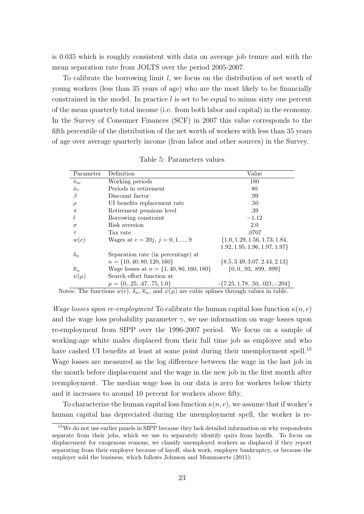is 0.035 which is roughly consistent with data on average job tenure and with the mean separation rate from JOLTS over the period 2005-2007.

To calibrate the borrowing limit l, we focus on the distribution of net worth of young workers (less than 35 years of age) who are the most likely to be financially constrained in the model. In practice  $l$  is set to be equal to minus sixty one percent of the mean quarterly total income (i.e. from both labor and capital) in the economy. In the Survey of Consumer Finances (SCF) in 2007 this value corresponds to the fifth percentile of the distribution of the net worth of workers with less than 35 years of age over average quarterly income (from labor and other sources) in the Survey.

| Parameter             | Definition                                                    | Value                               |
|-----------------------|---------------------------------------------------------------|-------------------------------------|
| $\bar{n}_w$           | Working periods                                               | 180                                 |
| $\bar{n}_r$           | Periods in retirement                                         | 80                                  |
| β                     | Discount factor                                               | .99                                 |
| $\rho$                | UI benefits replacement rate                                  | .50                                 |
| $\pi$                 | Retirement pensions level                                     | .39                                 |
|                       | Borrowing constraint                                          | $-1.12$                             |
| $\sigma$              | Risk aversion                                                 | 2.0                                 |
| $\tau$                | Tax rate                                                      | .0707                               |
| w(e)                  | Wages at $e = 20j, j = 0, 1, , 9$                             | $\{1.0, 1.29, 1.56, 1.73, 1.84,$    |
|                       |                                                               | $1.92, 1.95, 1.96, 1.97, 1.97\}$    |
| $\delta_n$            | Separation rate (in percentage) at                            |                                     |
|                       | $n = \{10, 40, 80, 120, 160\}$                                | $\{8.5, 3.49, 3.07, 2.44, 2.13\}$   |
| $\overline{\kappa}_n$ | Wage losses at $n = \{1, 40, 80, 160, 180\}$                  | $\{0, 0, .93, .899, .899\}$         |
| $\psi(\mu)$           | Search effort function at                                     |                                     |
| $\sim$<br>$\epsilon$  | $\mu = \{0, .25, .47, .75, 1.0\}$<br>$\mathbf{1}$<br>$\cdots$ | $-\{7.25, 1.78, .50, .021, -.204\}$ |

Table 5: Parameters values

Notes: The functions  $w(e)$ ,  $\delta_n$ ,  $\overline{\kappa}_n$ , and  $\psi(\mu)$  are cubic splines through values in table.

Wage losses upon re-employment To calibrate the human capital loss function  $\kappa(n,e)$ and the wage loss probability parameter  $\gamma$ , we use information on wage losses upon re-employment from SIPP over the 1996-2007 period. We focus on a sample of working-age white males displaced from their full time job as employee and who have cashed UI benefits at least at some point during their unemployment spell.<sup>15</sup> Wage losses are measured as the log difference between the wage in the last job in the month before displacement and the wage in the new job in the first month after reemployment. The median wage loss in our data is zero for workers below thirty and it increases to around 10 percent for workers above fifty.

To characterize the human capital loss function  $\kappa(n, e)$ , we assume that if worker's human capital has depreciated during the unemployment spell, the worker is re-

<sup>&</sup>lt;sup>15</sup>We do not use earlier panels in SIPP because they lack detailed information on why respondents separate from their jobs, which we use to separately identify quits from layoffs. To focus on displacement for exogenous reasons, we classify unemployed workers as displaced if they report separating from their employer because of layoff, slack work, employer bankruptcy, or because the employer sold the business, which follows Johnson and Mommaerts (2011).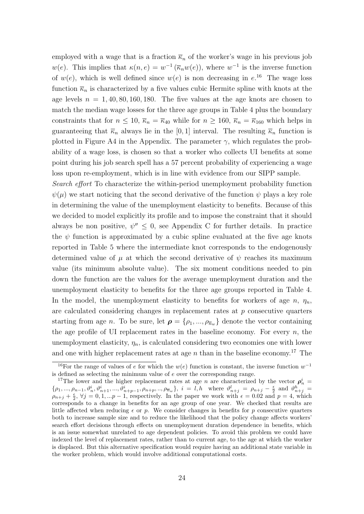employed with a wage that is a fraction  $\overline{\kappa}_n$  of the worker's wage in his previous job  $w(e)$ . This implies that  $\kappa(n,e) = w^{-1}(\overline{\kappa}_n w(e))$ , where  $w^{-1}$  is the inverse function of  $w(e)$ , which is well defined since  $w(e)$  is non decreasing in  $e^{16}$ . The wage loss function  $\bar{\kappa}_n$  is characterized by a five values cubic Hermite spline with knots at the age levels  $n = 1, 40, 80, 160, 180$ . The five values at the age knots are chosen to match the median wage losses for the three age groups in Table 4 plus the boundary constraints that for  $n \leq 10$ ,  $\overline{\kappa}_n = \overline{\kappa}_{40}$  while for  $n \geq 160$ ,  $\overline{\kappa}_n = \overline{\kappa}_{160}$  which helps in guaranteeing that  $\bar{\kappa}_n$  always lie in the [0, 1] interval. The resulting  $\bar{\kappa}_n$  function is plotted in Figure A4 in the Appendix. The parameter  $\gamma$ , which regulates the probability of a wage loss, is chosen so that a worker who collects UI benefits at some point during his job search spell has a 57 percent probability of experiencing a wage loss upon re-employment, which is in line with evidence from our SIPP sample.

Search effort To characterize the within-period unemployment probability function  $\psi(\mu)$  we start noticing that the second derivative of the function  $\psi$  plays a key role in determining the value of the unemployment elasticity to benefits. Because of this we decided to model explicitly its profile and to impose the constraint that it should always be non positive,  $\psi'' \leq 0$ , see Appendix C for further details. In practice the  $\psi$  function is approximated by a cubic spline evaluated at the five age knots reported in Table 5 where the intermediate knot corresponds to the endogenously determined value of  $\mu$  at which the second derivative of  $\psi$  reaches its maximum value (its minimum absolute value). The six moment conditions needed to pin down the function are the values for the average unemployment duration and the unemployment elasticity to benefits for the three age groups reported in Table 4. In the model, the unemployment elasticity to benefits for workers of age  $n$ ,  $\eta_n$ , are calculated considering changes in replacement rates at  $p$  consecutive quarters starting from age n. To be sure, let  $\rho = {\rho_1, ..., \rho_{\overline{n}_w}}$  denote the vector containing the age profile of UI replacement rates in the baseline economy. For every  $n$ , the unemployment elasticity,  $\eta_n$ , is calculated considering two economies one with lower and one with higher replacement rates at age  $n$  than in the baseline economy.<sup>17</sup> The

<sup>&</sup>lt;sup>16</sup>For the range of values of e for which the  $w(e)$  function is constant, the inverse function  $w^{-1}$ is defined as selecting the minimum value of e over the corresponding range.

<sup>&</sup>lt;sup>17</sup>The lower and the higher replacement rates at age n are characterized by the vector  $\rho_n^i$  $\{\rho_1, ..., \rho_{n-1}, \vartheta_n^i, \vartheta_{n+1}^i, ..., \vartheta_{n+p-1}^i, \rho_{n+p}, ..., \rho_{\overline{n}_w}\}\$ ,  $i = l, h$  where  $\vartheta_{n+j}^l = \rho_{n+j} - \frac{\epsilon}{2}$  and  $\vartheta_{n+j}^h = \frac{\epsilon}{2}$  $\rho_{n+j} + \frac{\epsilon}{2}$ ,  $\forall j = 0, 1, ...p-1$ , respectively. In the paper we work with  $\epsilon = 0.02$  and  $p = 4$ , which corresponds to a change in benefits for an age group of one year. We checked that results are little affected when reducing  $\epsilon$  or p. We consider changes in benefits for p consecutive quarters both to increase sample size and to reduce the likelihood that the policy change affects workers' search effort decisions through effects on unemployment duration dependence in benefits, which is an issue somewhat unrelated to age dependent policies. To avoid this problem we could have indexed the level of replacement rates, rather than to current age, to the age at which the worker is displaced. But this alternative specification would require having an additional state variable in the worker problem, which would involve additional computational costs.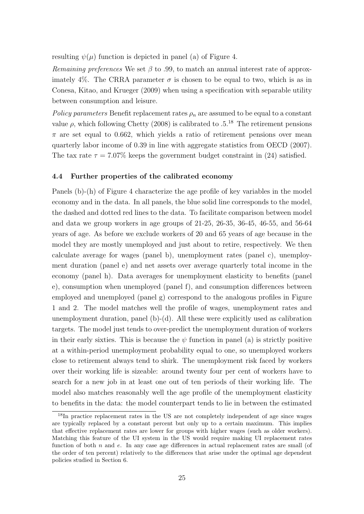resulting  $\psi(\mu)$  function is depicted in panel (a) of Figure 4.

Remaining preferences We set  $\beta$  to .99, to match an annual interest rate of approximately 4%. The CRRA parameter  $\sigma$  is chosen to be equal to two, which is as in Conesa, Kitao, and Krueger (2009) when using a specification with separable utility between consumption and leisure.

Policy parameters Benefit replacement rates  $\rho_n$  are assumed to be equal to a constant value  $\rho$ , which following Chetty (2008) is calibrated to  $.5^{18}$  The retirement pensions  $\pi$  are set equal to 0.662, which yields a ratio of retirement pensions over mean quarterly labor income of 0.39 in line with aggregate statistics from OECD (2007). The tax rate  $\tau = 7.07\%$  keeps the government budget constraint in (24) satisfied.

## 4.4 Further properties of the calibrated economy

Panels (b)-(h) of Figure 4 characterize the age profile of key variables in the model economy and in the data. In all panels, the blue solid line corresponds to the model, the dashed and dotted red lines to the data. To facilitate comparison between model and data we group workers in age groups of 21-25, 26-35, 36-45, 46-55, and 56-64 years of age. As before we exclude workers of 20 and 65 years of age because in the model they are mostly unemployed and just about to retire, respectively. We then calculate average for wages (panel b), unemployment rates (panel c), unemployment duration (panel e) and net assets over average quarterly total income in the economy (panel h). Data averages for unemployment elasticity to benefits (panel e), consumption when unemployed (panel f), and consumption differences between employed and unemployed (panel g) correspond to the analogous profiles in Figure 1 and 2. The model matches well the profile of wages, unemployment rates and unemployment duration, panel (b)-(d). All these were explicitly used as calibration targets. The model just tends to over-predict the unemployment duration of workers in their early sixties. This is because the  $\psi$  function in panel (a) is strictly positive at a within-period unemployment probability equal to one, so unemployed workers close to retirement always tend to shirk. The unemployment risk faced by workers over their working life is sizeable: around twenty four per cent of workers have to search for a new job in at least one out of ten periods of their working life. The model also matches reasonably well the age profile of the unemployment elasticity to benefits in the data: the model counterpart tends to lie in between the estimated

<sup>&</sup>lt;sup>18</sup>In practice replacement rates in the US are not completely independent of age since wages are typically replaced by a constant percent but only up to a certain maximum. This implies that effective replacement rates are lower for groups with higher wages (such as older workers). Matching this feature of the UI system in the US would require making UI replacement rates function of both  $n$  and  $e$ . In any case age differences in actual replacement rates are small (of the order of ten percent) relatively to the differences that arise under the optimal age dependent policies studied in Section 6.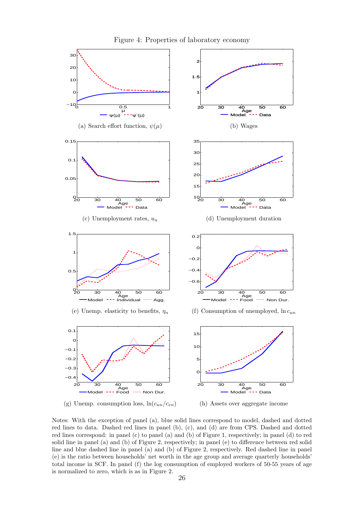

Figure 4: Properties of laboratory economy

Notes: With the exception of panel (a), blue solid lines correspond to model, dashed and dotted red lines to data. Dashed red lines in panel (b), (c), and (d) are from CPS. Dashed and dotted red lines correspond: in panel (c) to panel (a) and (b) of Figure 1, respectively; in panel (d) to red solid line in panel (a) and (b) of Figure 2, respectively; in panel (e) to difference between red solid line and blue dashed line in panel (a) and (b) of Figure 2, respectively. Red dashed line in panel (e) is the ratio between households' net worth in the age group and average quarterly households' total income in SCF. In panel (f) the log consumption of employed workers of 50-55 years of age is normalized to zero, which is as in Figure 2.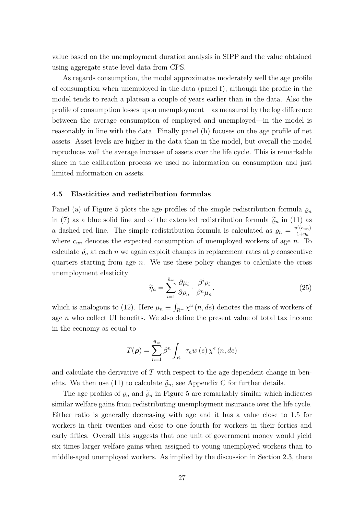value based on the unemployment duration analysis in SIPP and the value obtained using aggregate state level data from CPS.

As regards consumption, the model approximates moderately well the age profile of consumption when unemployed in the data (panel f), although the profile in the model tends to reach a plateau a couple of years earlier than in the data. Also the profile of consumption losses upon unemployment—as measured by the log difference between the average consumption of employed and unemployed—in the model is reasonably in line with the data. Finally panel (h) focuses on the age profile of net assets. Asset levels are higher in the data than in the model, but overall the model reproduces well the average increase of assets over the life cycle. This is remarkable since in the calibration process we used no information on consumption and just limited information on assets.

#### 4.5 Elasticities and redistribution formulas

Panel (a) of Figure 5 plots the age profiles of the simple redistribution formula  $\varrho_n$ in (7) as a blue solid line and of the extended redistribution formula  $\tilde{\varrho}_n$  in (11) as a dashed red line. The simple redistribution formula is calculated as  $\rho_n = \frac{u'(c_{un})}{1+n_n}$  $1+\eta_n$ where  $c_{un}$  denotes the expected consumption of unemployed workers of age n. To calculate  $\widetilde{\varrho}_n$  at each n we again exploit changes in replacement rates at p consecutive quarters starting from age n. We use these policy changes to calculate the cross unemployment elasticity

$$
\widetilde{\eta}_n = \sum_{i=1}^{\bar{n}_w} \frac{\partial \mu_i}{\partial \rho_n} \cdot \frac{\beta^i \rho_i}{\beta^n \mu_n},\tag{25}
$$

which is analogous to (12). Here  $\mu_n \equiv \int_{R^+} \chi^u(n, de)$  denotes the mass of workers of age  $n$  who collect UI benefits. We also define the present value of total tax income in the economy as equal to

$$
T(\boldsymbol{\rho}) = \sum_{n=1}^{\bar{n}_w} \beta^n \int_{R^+} \tau_n w(e) \,\chi^e(n, de)
$$

and calculate the derivative of  $T$  with respect to the age dependent change in benefits. We then use (11) to calculate  $\tilde{\varrho}_n$ , see Appendix C for further details.

The age profiles of  $\varrho_n$  and  $\widetilde{\varrho}_n$  in Figure 5 are remarkably similar which indicates similar welfare gains from redistributing unemployment insurance over the life cycle. Either ratio is generally decreasing with age and it has a value close to 1.5 for workers in their twenties and close to one fourth for workers in their forties and early fifties. Overall this suggests that one unit of government money would yield six times larger welfare gains when assigned to young unemployed workers than to middle-aged unemployed workers. As implied by the discussion in Section 2.3, there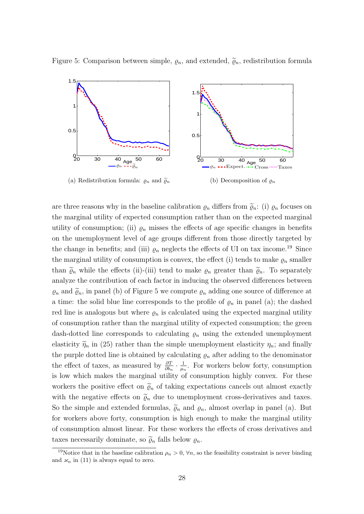Figure 5: Comparison between simple,  $\varrho_n$ , and extended,  $\widetilde{\varrho}_n$ , redistribution formula



are three reasons why in the baseline calibration  $\varrho_n$  differs from  $\widetilde{\varrho}_n$ : (i)  $\varrho_n$  focuses on the marginal utility of expected consumption rather than on the expected marginal utility of consumption; (ii)  $\varrho_n$  misses the effects of age specific changes in benefits on the unemployment level of age groups different from those directly targeted by the change in benefits; and (iii)  $\varrho_n$  neglects the effects of UI on tax income.<sup>19</sup> Since the marginal utility of consumption is convex, the effect (i) tends to make  $\varrho_n$  smaller than  $\tilde{\varrho}_n$  while the effects (ii)-(iii) tend to make  $\varrho_n$  greater than  $\tilde{\varrho}_n$ . To separately analyze the contribution of each factor in inducing the observed differences between  $\varrho_n$  and  $\widetilde{\varrho}_n$ , in panel (b) of Figure 5 we compute  $\varrho_n$  adding one source of difference at a time: the solid blue line corresponds to the profile of  $\varrho_n$  in panel (a); the dashed red line is analogous but where  $\rho_n$  is calculated using the expected marginal utility of consumption rather than the marginal utility of expected consumption; the green dash-dotted line corresponds to calculating  $\varrho_n$  using the extended unemployment elasticity  $\widetilde{\eta}_n$  in (25) rather than the simple unemployment elasticity  $\eta_n$ ; and finally the purple dotted line is obtained by calculating  $\varrho_n$  after adding to the denominator the effect of taxes, as measured by  $\frac{\partial T}{\partial b_n} \cdot \frac{1}{\mu_0}$  $\frac{1}{\mu_n}$ . For workers below forty, consumption is low which makes the marginal utility of consumption highly convex. For these workers the positive effect on  $\tilde{\varrho}_n$  of taking expectations cancels out almost exactly with the negative effects on  $\tilde{\varrho}_n$  due to unemployment cross-derivatives and taxes. So the simple and extended formulas,  $\tilde{\varrho}_n$  and  $\varrho_n$ , almost overlap in panel (a). But for workers above forty, consumption is high enough to make the marginal utility of consumption almost linear. For these workers the effects of cross derivatives and taxes necessarily dominate, so  $\tilde{\varrho}_n$  falls below  $\varrho_n$ .

<sup>&</sup>lt;sup>19</sup>Notice that in the baseline calibration  $\rho_n > 0$ ,  $\forall n$ , so the feasibility constraint is never binding and  $\varkappa_n$  in (11) is always equal to zero.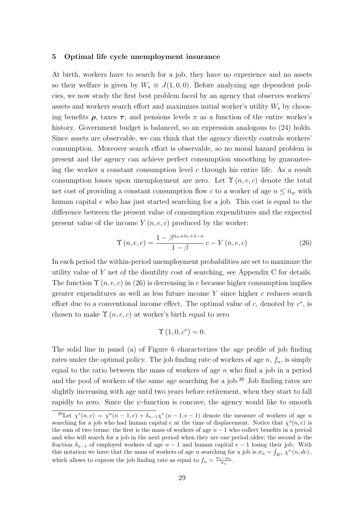#### 5 Optimal life cycle unemployment insurance

At birth, workers have to search for a job, they have no experience and no assets so their welfare is given by  $W_s \equiv J(1,0,0)$ . Before analyzing age dependent policies, we now study the first best problem faced by an agency that observes workers' assets and workers search effort and maximizes initial worker's utility  $W_s$  by choosing benefits  $\rho$ , taxes  $\tau$ , and pensions levels  $\pi$  as a function of the entire worker's history. Government budget is balanced, so an expression analogous to (24) holds. Since assets are observable, we can think that the agency directly controls workers' consumption. Moreover search effort is observable, so no moral hazard problem is present and the agency can achieve perfect consumption smoothing by guaranteeing the worker a constant consumption level  $c$  through his entire life. As a result consumption losses upon unemployment are zero. Let  $\Upsilon(n, e, c)$  denote the total net cost of providing a constant consumption flow c to a worker of age  $n \leq \bar{n}_w$  with human capital e who has just started searching for a job. This cost is equal to the difference between the present value of consumption expenditures and the expected present value of the income  $Y(n, e, c)$  produced by the worker:

$$
\Upsilon(n, e, c) = \frac{1 - \beta^{\bar{n}_w + \bar{n}_r + 1 - n}}{1 - \beta} c - Y(n, e, c)
$$
\n(26)

In each period the within-period unemployment probabilities are set to maximize the utility value of Y net of the disutility cost of searching, see Appendix C for details. The function  $\Upsilon(n, e, c)$  in (26) is decreasing in c because higher consumption implies greater expenditures as well as less future income  $Y$  since higher c reduces search effort due to a conventional income effect. The optimal value of c, denoted by  $c^*$ , is chosen to make  $\Upsilon(n, e, c)$  at worker's birth equal to zero

$$
\Upsilon(1,0,c^*)=0.
$$

The solid line in panel (a) of Figure 6 characterizes the age profile of job finding rates under the optimal policy. The job finding rate of workers of age  $n, f_n$ , is simply equal to the ratio between the mass of workers of age  $n$  who find a job in a period and the pool of workers of the same age searching for a job.<sup>20</sup> Job finding rates are slightly increasing with age until two years before retirement, when they start to fall rapidly to zero. Since the  $\psi$ -function is concave, the agency would like to smooth

<sup>&</sup>lt;sup>20</sup>Let  $\chi^{s}(n,e) = \chi^{u}(n-1,e) + \delta_{n-1}\chi^{e}(n-1,e-1)$  denote the measure of workers of age n searching for a job who had human capital e at the time of displacement. Notice that  $\chi^s(n, e)$  is the sum of two terms: the first is the mass of workers of age  $n-1$  who collect benefits in a period and who will search for a job in the next period when they are one period older; the second is the fraction  $\delta_{n-1}$  of employed workers of age  $n-1$  and human capital  $e-1$  losing their job. With this notation we have that the mass of workers of age n searching for a job is  $\sigma_n = \int_{R_+} \chi^s(n, de)$ , which allows to express the job finding rate as equal to  $f_n = \frac{\sigma_n - \mu_n}{\sigma_n}$ .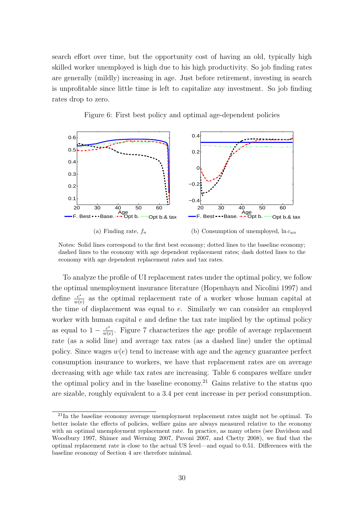search effort over time, but the opportunity cost of having an old, typically high skilled worker unemployed is high due to his high productivity. So job finding rates are generally (mildly) increasing in age. Just before retirement, investing in search is unprofitable since little time is left to capitalize any investment. So job finding rates drop to zero.

Figure 6: First best policy and optimal age-dependent policies



Notes: Solid lines correspond to the first best economy; dotted lines to the baseline economy; dashed lines to the economy with age dependent replacement rates; dash dotted lines to the economy with age dependent replacement rates and tax rates.

To analyze the profile of UI replacement rates under the optimal policy, we follow the optimal unemployment insurance literature (Hopenhayn and Nicolini 1997) and define  $\frac{c^*}{w(a)}$  $\frac{c^*}{w(e)}$  as the optimal replacement rate of a worker whose human capital at the time of displacement was equal to e. Similarly we can consider an employed worker with human capital  $e$  and define the tax rate implied by the optimal policy as equal to  $1 - \frac{c^*}{w(c)}$  $\frac{c^*}{w(e)}$ . Figure 7 characterizes the age profile of average replacement rate (as a solid line) and average tax rates (as a dashed line) under the optimal policy. Since wages  $w(e)$  tend to increase with age and the agency guarantee perfect consumption insurance to workers, we have that replacement rates are on average decreasing with age while tax rates are increasing. Table 6 compares welfare under the optimal policy and in the baseline economy.<sup>21</sup> Gains relative to the status quo are sizable, roughly equivalent to a 3.4 per cent increase in per period consumption.

<sup>&</sup>lt;sup>21</sup>In the baseline economy average unemployment replacement rates might not be optimal. To better isolate the effects of policies, welfare gains are always measured relative to the economy with an optimal unemployment replacement rate. In practice, as many others (see Davidson and Woodbury 1997, Shimer and Werning 2007, Pavoni 2007, and Chetty 2008), we find that the optimal replacement rate is close to the actual US level—and equal to 0.51. Differences with the baseline economy of Section 4 are therefore minimal.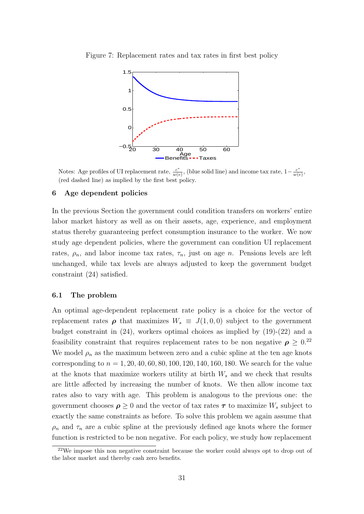

Figure 7: Replacement rates and tax rates in first best policy

Notes: Age profiles of UI replacement rate,  $\frac{c^*}{w(e)}$  $\frac{c^*}{w(e)}$ , (blue solid line) and income tax rate,  $1 - \frac{c^*}{w(e)}$  $\frac{c}{w(e)},$ (red dashed line) as implied by the first best policy.

#### 6 Age dependent policies

In the previous Section the government could condition transfers on workers' entire labor market history as well as on their assets, age, experience, and employment status thereby guaranteeing perfect consumption insurance to the worker. We now study age dependent policies, where the government can condition UI replacement rates,  $\rho_n$ , and labor income tax rates,  $\tau_n$ , just on age *n*. Pensions levels are left unchanged, while tax levels are always adjusted to keep the government budget constraint (24) satisfied.

#### 6.1 The problem

An optimal age-dependent replacement rate policy is a choice for the vector of replacement rates  $\rho$  that maximizes  $W_s \equiv J(1,0,0)$  subject to the government budget constraint in (24), workers optimal choices as implied by (19)-(22) and a feasibility constraint that requires replacement rates to be non negative  $\rho \geq 0.^{22}$ We model  $\rho_n$  as the maximum between zero and a cubic spline at the ten age knots corresponding to  $n = 1, 20, 40, 60, 80, 100, 120, 140, 160, 180$ . We search for the value at the knots that maximize workers utility at birth  $W_s$  and we check that results are little affected by increasing the number of knots. We then allow income tax rates also to vary with age. This problem is analogous to the previous one: the government chooses  $\rho \geq 0$  and the vector of tax rates  $\tau$  to maximize  $W_s$  subject to exactly the same constraints as before. To solve this problem we again assume that  $\rho_n$  and  $\tau_n$  are a cubic spline at the previously defined age knots where the former function is restricted to be non negative. For each policy, we study how replacement

 $22$ We impose this non negative constraint because the worker could always opt to drop out of the labor market and thereby cash zero benefits.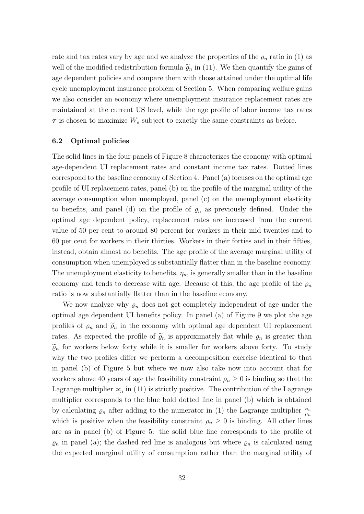rate and tax rates vary by age and we analyze the properties of the  $\varrho_n$  ratio in (1) as well of the modified redistribution formula  $\tilde{\varrho}_n$  in (11). We then quantify the gains of age dependent policies and compare them with those attained under the optimal life cycle unemployment insurance problem of Section 5. When comparing welfare gains we also consider an economy where unemployment insurance replacement rates are maintained at the current US level, while the age profile of labor income tax rates  $\tau$  is chosen to maximize  $W_s$  subject to exactly the same constraints as before.

## 6.2 Optimal policies

The solid lines in the four panels of Figure 8 characterizes the economy with optimal age-dependent UI replacement rates and constant income tax rates. Dotted lines correspond to the baseline economy of Section 4. Panel (a) focuses on the optimal age profile of UI replacement rates, panel (b) on the profile of the marginal utility of the average consumption when unemployed, panel (c) on the unemployment elasticity to benefits, and panel (d) on the profile of  $\varrho_n$  as previously defined. Under the optimal age dependent policy, replacement rates are increased from the current value of 50 per cent to around 80 percent for workers in their mid twenties and to 60 per cent for workers in their thirties. Workers in their forties and in their fifties, instead, obtain almost no benefits. The age profile of the average marginal utility of consumption when unemployed is substantially flatter than in the baseline economy. The unemployment elasticity to benefits,  $\eta_n$ , is generally smaller than in the baseline economy and tends to decrease with age. Because of this, the age profile of the  $\rho_n$ ratio is now substantially flatter than in the baseline economy.

We now analyze why  $\varrho_n$  does not get completely independent of age under the optimal age dependent UI benefits policy. In panel (a) of Figure 9 we plot the age profiles of  $\varrho_n$  and  $\widetilde{\varrho}_n$  in the economy with optimal age dependent UI replacement rates. As expected the profile of  $\tilde{\varrho}_n$  is approximately flat while  $\varrho_n$  is greater than  $\tilde{\varrho}_n$  for workers below forty while it is smaller for workers above forty. To study why the two profiles differ we perform a decomposition exercise identical to that in panel (b) of Figure 5 but where we now also take now into account that for workers above 40 years of age the feasibility constraint  $\rho_n \geq 0$  is binding so that the Lagrange multiplier  $\varkappa_n$  in (11) is strictly positive. The contribution of the Lagrange multiplier corresponds to the blue bold dotted line in panel (b) which is obtained by calculating  $\varrho_n$  after adding to the numerator in (1) the Lagrange multiplier  $\frac{\varkappa_n}{\mu_n}$ which is positive when the feasibility constraint  $\rho_n \geq 0$  is binding. All other lines are as in panel (b) of Figure 5: the solid blue line corresponds to the profile of  $\varrho_n$  in panel (a); the dashed red line is analogous but where  $\varrho_n$  is calculated using the expected marginal utility of consumption rather than the marginal utility of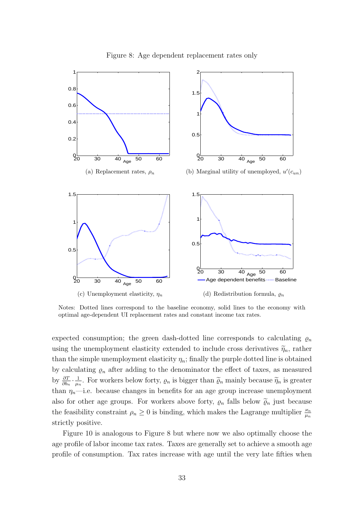

Notes: Dotted lines correspond to the baseline economy, solid lines to the economy with optimal age-dependent UI replacement rates and constant income tax rates.

expected consumption; the green dash-dotted line corresponds to calculating  $\varrho_n$ using the unemployment elasticity extended to include cross derivatives  $\tilde{\eta}_n$ , rather than the simple unemployment elasticity  $\eta_n$ ; finally the purple dotted line is obtained by calculating  $\varrho_n$  after adding to the denominator the effect of taxes, as measured by  $\frac{\partial T}{\partial b_n} \cdot \frac{1}{\mu_n}$  $\frac{1}{\mu_n}$ . For workers below forty,  $\varrho_n$  is bigger than  $\widetilde{\varrho}_n$  mainly because  $\widetilde{\eta}_n$  is greater than  $\eta_n$ —i.e. because changes in benefits for an age group increase unemployment also for other age groups. For workers above forty,  $\varrho_n$  falls below  $\widetilde{\varrho}_n$  just because the feasibility constraint  $\rho_n \geq 0$  is binding, which makes the Lagrange multiplier  $\frac{\varkappa_n}{\mu_n}$ strictly positive.

Figure 10 is analogous to Figure 8 but where now we also optimally choose the age profile of labor income tax rates. Taxes are generally set to achieve a smooth age profile of consumption. Tax rates increase with age until the very late fifties when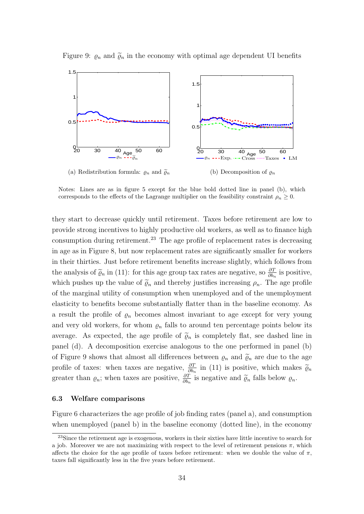

Figure 9:  $\varrho_n$  and  $\widetilde{\varrho}_n$  in the economy with optimal age dependent UI benefits

Notes: Lines are as in figure 5 except for the blue bold dotted line in panel (b), which corresponds to the effects of the Lagrange multiplier on the feasibility constraint  $\rho_n \geq 0$ .

they start to decrease quickly until retirement. Taxes before retirement are low to provide strong incentives to highly productive old workers, as well as to finance high consumption during retirement.<sup>23</sup> The age profile of replacement rates is decreasing in age as in Figure 8, but now replacement rates are significantly smaller for workers in their thirties. Just before retirement benefits increase slightly, which follows from the analysis of  $\tilde{\varrho}_n$  in (11): for this age group tax rates are negative, so  $\frac{\partial T}{\partial b_n}$  is positive, which pushes up the value of  $\tilde{\varrho}_n$  and thereby justifies increasing  $\rho_n$ . The age profile of the marginal utility of consumption when unemployed and of the unemployment elasticity to benefits become substantially flatter than in the baseline economy. As a result the profile of  $\varrho_n$  becomes almost invariant to age except for very young and very old workers, for whom  $\varrho_n$  falls to around ten percentage points below its average. As expected, the age profile of  $\tilde{\varrho}_n$  is completely flat, see dashed line in panel (d). A decomposition exercise analogous to the one performed in panel (b) of Figure 9 shows that almost all differences between  $\varrho_n$  and  $\widetilde{\varrho}_n$  are due to the age profile of taxes: when taxes are negative,  $\frac{\partial T}{\partial b_n}$  in (11) is positive, which makes  $\tilde{\varrho}_n$ greater than  $\varrho_n$ ; when taxes are positive,  $\frac{\partial T}{\partial b_n}$  is negative and  $\tilde{\varrho}_n$  falls below  $\varrho_n$ .

#### 6.3 Welfare comparisons

Figure 6 characterizes the age profile of job finding rates (panel a), and consumption when unemployed (panel b) in the baseline economy (dotted line), in the economy

<sup>&</sup>lt;sup>23</sup>Since the retirement age is exogenous, workers in their sixties have little incentive to search for a job. Moreover we are not maximizing with respect to the level of retirement pensions  $\pi$ , which affects the choice for the age profile of taxes before retirement: when we double the value of  $\pi$ , taxes fall significantly less in the five years before retirement.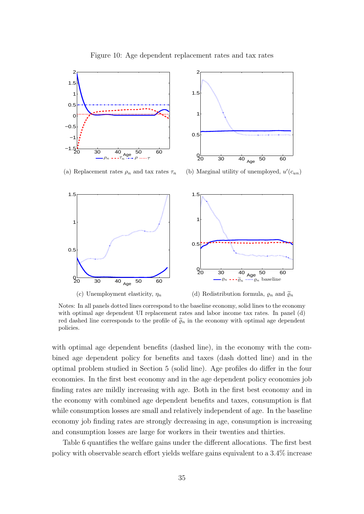

Figure 10: Age dependent replacement rates and tax rates

Notes: In all panels dotted lines correspond to the baseline economy, solid lines to the economy with optimal age dependent UI replacement rates and labor income tax rates. In panel (d) red dashed line corresponds to the profile of  $\tilde{\varrho}_n$  in the economy with optimal age dependent policies.

with optimal age dependent benefits (dashed line), in the economy with the combined age dependent policy for benefits and taxes (dash dotted line) and in the optimal problem studied in Section 5 (solid line). Age profiles do differ in the four economies. In the first best economy and in the age dependent policy economies job finding rates are mildly increasing with age. Both in the first best economy and in the economy with combined age dependent benefits and taxes, consumption is flat while consumption losses are small and relatively independent of age. In the baseline economy job finding rates are strongly decreasing in age, consumption is increasing and consumption losses are large for workers in their twenties and thirties.

Table 6 quantifies the welfare gains under the different allocations. The first best policy with observable search effort yields welfare gains equivalent to a 3.4% increase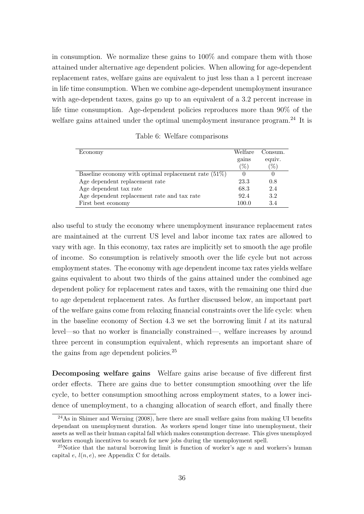in consumption. We normalize these gains to 100% and compare them with those attained under alternative age dependent policies. When allowing for age-dependent replacement rates, welfare gains are equivalent to just less than a 1 percent increase in life time consumption. When we combine age-dependent unemployment insurance with age-dependent taxes, gains go up to an equivalent of a 3.2 percent increase in life time consumption. Age-dependent policies reproduces more than 90% of the welfare gains attained under the optimal unemployment insurance program.<sup>24</sup> It is

| Economy                                                 | Welfare | Consum. |
|---------------------------------------------------------|---------|---------|
|                                                         | gains   | equiv.  |
|                                                         | $(\%)$  | $(\%)$  |
| Baseline economy with optimal replacement rate $(51\%)$ |         |         |
| Age dependent replacement rate                          | 23.3    | 0.8     |
| Age dependent tax rate                                  | 68.3    | 2.4     |
| Age dependent replacement rate and tax rate             | 92.4    | 3.2     |
| First best economy                                      | 100.0   | 3.4     |

Table 6: Welfare comparisons

also useful to study the economy where unemployment insurance replacement rates are maintained at the current US level and labor income tax rates are allowed to vary with age. In this economy, tax rates are implicitly set to smooth the age profile of income. So consumption is relatively smooth over the life cycle but not across employment states. The economy with age dependent income tax rates yields welfare gains equivalent to about two thirds of the gains attained under the combined age dependent policy for replacement rates and taxes, with the remaining one third due to age dependent replacement rates. As further discussed below, an important part of the welfare gains come from relaxing financial constraints over the life cycle: when in the baseline economy of Section 4.3 we set the borrowing limit  $l$  at its natural level—so that no worker is financially constrained—, welfare increases by around three percent in consumption equivalent, which represents an important share of the gains from age dependent policies.<sup>25</sup>

Decomposing welfare gains Welfare gains arise because of five different first order effects. There are gains due to better consumption smoothing over the life cycle, to better consumption smoothing across employment states, to a lower incidence of unemployment, to a changing allocation of search effort, and finally there

 $^{24}$ As in Shimer and Werning (2008), here there are small welfare gains from making UI benefits dependant on unemployment duration. As workers spend longer time into unemployment, their assets as well as their human capital fall which makes consumption decrease. This gives unemployed workers enough incentives to search for new jobs during the unemployment spell.

<sup>&</sup>lt;sup>25</sup>Notice that the natural borrowing limit is function of worker's age  $n$  and workers's human capital e,  $l(n, e)$ , see Appendix C for details.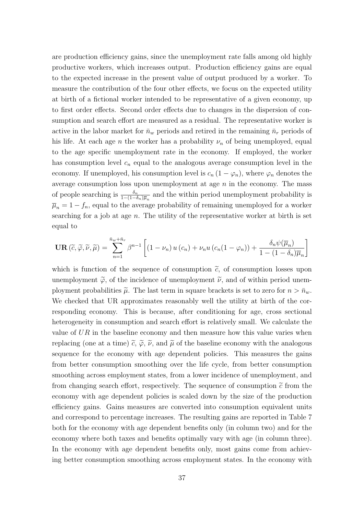are production efficiency gains, since the unemployment rate falls among old highly productive workers, which increases output. Production efficiency gains are equal to the expected increase in the present value of output produced by a worker. To measure the contribution of the four other effects, we focus on the expected utility at birth of a fictional worker intended to be representative of a given economy, up to first order effects. Second order effects due to changes in the dispersion of consumption and search effort are measured as a residual. The representative worker is active in the labor market for  $\bar{n}_w$  periods and retired in the remaining  $\bar{n}_r$  periods of his life. At each age *n* the worker has a probability  $\nu_n$  of being unemployed, equal to the age specific unemployment rate in the economy. If employed, the worker has consumption level  $c_n$  equal to the analogous average consumption level in the economy. If unemployed, his consumption level is  $c_n (1 - \varphi_n)$ , where  $\varphi_n$  denotes the average consumption loss upon unemployment at age  $n$  in the economy. The mass of people searching is  $\frac{\delta_n}{1-(1-\delta_n)\overline{\mu}_n}$  and the within period unemployment probability is  $\overline{\mu}_n = 1 - f_n$ , equal to the average probability of remaining unemployed for a worker searching for a job at age  $n$ . The utility of the representative worker at birth is set equal to

$$
\mathbf{UR}\left(\widetilde{c},\widetilde{\varphi},\widetilde{\nu},\widetilde{\mu}\right) = \sum_{n=1}^{\bar{n}_w + \bar{n}_r} \beta^{n-1} \left[ \left(1 - \nu_n\right) u\left(c_n\right) + \nu_n u\left(c_n\left(1 - \varphi_n\right)\right) + \frac{\delta_n \psi(\overline{\mu}_n)}{1 - \left(1 - \delta_n\right) \overline{\mu}_n} \right]
$$

which is function of the sequence of consumption  $\tilde{c}$ , of consumption losses upon unemployment  $\tilde{\varphi}$ , of the incidence of unemployment  $\tilde{\nu}$ , and of within period unemployment probabilities  $\tilde{\mu}$ . The last term in square brackets is set to zero for  $n > \bar{n}_w$ . We checked that UR approximates reasonably well the utility at birth of the corresponding economy. This is because, after conditioning for age, cross sectional heterogeneity in consumption and search effort is relatively small. We calculate the value of  $UR$  in the baseline economy and then measure how this value varies when replacing (one at a time)  $\tilde{c}$ ,  $\tilde{\varphi}$ ,  $\tilde{\nu}$ , and  $\tilde{\mu}$  of the baseline economy with the analogous sequence for the economy with age dependent policies. This measures the gains from better consumption smoothing over the life cycle, from better consumption smoothing across employment states, from a lower incidence of unemployment, and from changing search effort, respectively. The sequence of consumption  $\tilde{c}$  from the economy with age dependent policies is scaled down by the size of the production efficiency gains. Gains measures are converted into consumption equivalent units and correspond to percentage increases. The resulting gains are reported in Table 7 both for the economy with age dependent benefits only (in column two) and for the economy where both taxes and benefits optimally vary with age (in column three). In the economy with age dependent benefits only, most gains come from achieving better consumption smoothing across employment states. In the economy with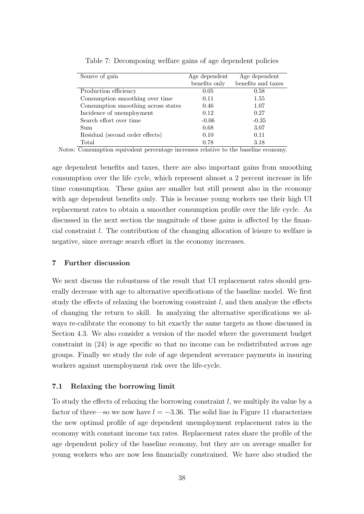| Source of gain                      | Age dependent | Age dependent      |
|-------------------------------------|---------------|--------------------|
|                                     | benefits only | benefits and taxes |
| Production efficiency               | 0.05          | 0.58               |
| Consumption smoothing over time     | 0.11          | 1.55               |
| Consumption smoothing across states | 0.46          | 1.07               |
| Incidence of unemployment           | 0.12          | 0.27               |
| Search effort over time             | $-0.06$       | $-0.35$            |
| Sum                                 | 0.68          | 3.07               |
| Residual (second order effects)     | 0.10          | 0.11               |
| Total                               | 0.78          | 3.18               |

Table 7: Decomposing welfare gains of age dependent policies

Notes: Consumption equivalent percentage increases relative to the baseline economy.

age dependent benefits and taxes, there are also important gains from smoothing consumption over the life cycle, which represent almost a 2 percent increase in life time consumption. These gains are smaller but still present also in the economy with age dependent benefits only. This is because young workers use their high UI replacement rates to obtain a smoother consumption profile over the life cycle. As discussed in the next section the magnitude of these gains is affected by the financial constraint l. The contribution of the changing allocation of leisure to welfare is negative, since average search effort in the economy increases.

## 7 Further discussion

We next discuss the robustness of the result that UI replacement rates should generally decrease with age to alternative specifications of the baseline model. We first study the effects of relaxing the borrowing constraint  $l$ , and then analyze the effects of changing the return to skill. In analyzing the alternative specifications we always re-calibrate the economy to hit exactly the same targets as those discussed in Section 4.3. We also consider a version of the model where the government budget constraint in (24) is age specific so that no income can be redistributed across age groups. Finally we study the role of age dependent severance payments in insuring workers against unemployment risk over the life-cycle.

## 7.1 Relaxing the borrowing limit

To study the effects of relaxing the borrowing constraint  $l$ , we multiply its value by a factor of three—so we now have  $l = -3.36$ . The solid line in Figure 11 characterizes the new optimal profile of age dependent unemployment replacement rates in the economy with constant income tax rates. Replacement rates share the profile of the age dependent policy of the baseline economy, but they are on average smaller for young workers who are now less financially constrained. We have also studied the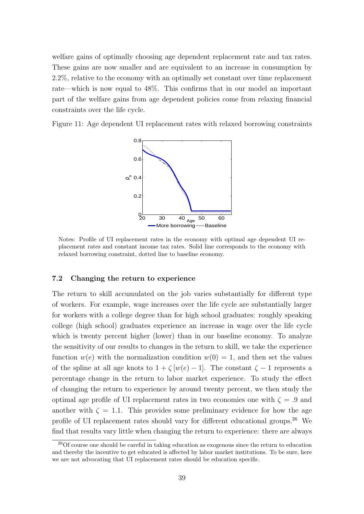welfare gains of optimally choosing age dependent replacement rate and tax rates. These gains are now smaller and are equivalent to an increase in consumption by 2.2%, relative to the economy with an optimally set constant over time replacement rate—which is now equal to 48%. This confirms that in our model an important part of the welfare gains from age dependent policies come from relaxing financial constraints over the life cycle.

Figure 11: Age dependent UI replacement rates with relaxed borrowing constraints



Notes: Profile of UI replacement rates in the economy with optimal age dependent UI replacement rates and constant income tax rates. Solid line corresponds to the economy with relaxed borrowing constraint, dotted line to baseline economy.

## 7.2 Changing the return to experience

The return to skill accumulated on the job varies substantially for different type of workers. For example, wage increases over the life cycle are substantially larger for workers with a college degree than for high school graduates: roughly speaking college (high school) graduates experience an increase in wage over the life cycle which is twenty percent higher (lower) than in our baseline economy. To analyze the sensitivity of our results to changes in the return to skill, we take the experience function  $w(e)$  with the normalization condition  $w(0) = 1$ , and then set the values of the spline at all age knots to  $1 + \zeta [w(e) - 1]$ . The constant  $\zeta - 1$  represents a percentage change in the return to labor market experience. To study the effect of changing the return to experience by around twenty percent, we then study the optimal age profile of UI replacement rates in two economies one with  $\zeta = .9$  and another with  $\zeta = 1.1$ . This provides some preliminary evidence for how the age profile of UI replacement rates should vary for different educational groups.<sup>26</sup> We find that results vary little when changing the return to experience: there are always

<sup>26</sup>Of course one should be careful in taking education as exogenous since the return to education and thereby the incentive to get educated is affected by labor market institutions. To be sure, here we are not advocating that UI replacement rates should be education specific.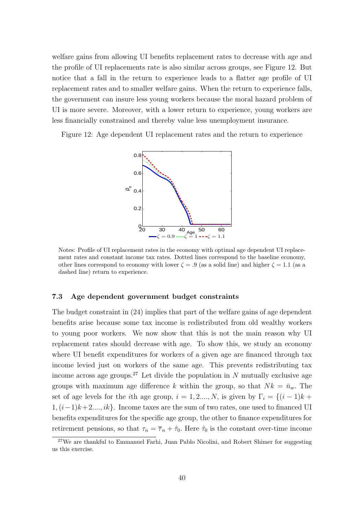welfare gains from allowing UI benefits replacement rates to decrease with age and the profile of UI replacements rate is also similar across groups, see Figure 12. But notice that a fall in the return to experience leads to a flatter age profile of UI replacement rates and to smaller welfare gains. When the return to experience falls, the government can insure less young workers because the moral hazard problem of UI is more severe. Moreover, with a lower return to experience, young workers are less financially constrained and thereby value less unemployment insurance.

Figure 12: Age dependent UI replacement rates and the return to experience



Notes: Profile of UI replacement rates in the economy with optimal age dependent UI replacement rates and constant income tax rates. Dotted lines correspond to the baseline economy, other lines correspond to economy with lower  $\zeta = .9$  (as a solid line) and higher  $\zeta = 1.1$  (as a dashed line) return to experience.

## 7.3 Age dependent government budget constraints

The budget constraint in (24) implies that part of the welfare gains of age dependent benefits arise because some tax income is redistributed from old wealthy workers to young poor workers. We now show that this is not the main reason why UI replacement rates should decrease with age. To show this, we study an economy where UI benefit expenditures for workers of a given age are financed through tax income levied just on workers of the same age. This prevents redistributing tax income across age groups.<sup>27</sup> Let divide the population in N mutually exclusive age groups with maximum age difference k within the group, so that  $Nk = \bar{n}_w$ . The set of age levels for the *i*th age group,  $i = 1, 2,..., N$ , is given by  $\Gamma_i = \{(i-1)k +$  $1,(i-1)k+2..., ik$ . Income taxes are the sum of two rates, one used to financed UI benefits expenditures for the specific age group, the other to finance expenditures for retirement pensions, so that  $\tau_n = \overline{\tau}_n + \hat{\tau}_0$ . Here  $\hat{\tau}_0$  is the constant over-time income

 $27$ We are thankful to Emmanuel Farhi, Juan Pablo Nicolini, and Robert Shimer for suggesting us this exercise.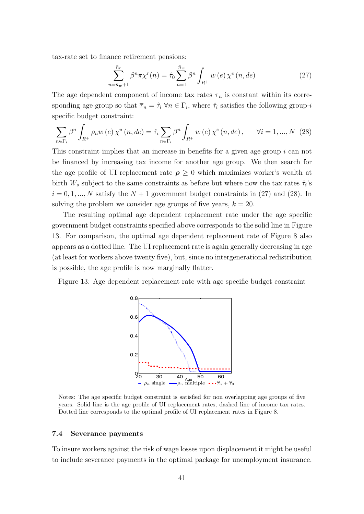tax-rate set to finance retirement pensions:

$$
\sum_{n=\bar{n}_w+1}^{\bar{n}_r} \beta^n \pi \chi^r(n) = \hat{\tau}_0 \sum_{n=1}^{\bar{n}_w} \beta^n \int_{R^+} w(e) \chi^e(n, de)
$$
 (27)

The age dependent component of income tax rates  $\overline{\tau}_n$  is constant within its corresponding age group so that  $\overline{\tau}_n = \hat{\tau}_i \,\forall n \in \Gamma_i$ , where  $\hat{\tau}_i$  satisfies the following group-i specific budget constraint:

$$
\sum_{n \in \Gamma_i} \beta^n \int_{R^+} \rho_n w(e) \, \chi^u(n, de) = \hat{\tau}_i \sum_{n \in \Gamma_i} \beta^n \int_{R^+} w(e) \, \chi^e(n, de) \,, \qquad \forall i = 1, ..., N \tag{28}
$$

This constraint implies that an increase in benefits for a given age group i can not be financed by increasing tax income for another age group. We then search for the age profile of UI replacement rate  $\rho \geq 0$  which maximizes worker's wealth at birth  $W_s$  subject to the same constraints as before but where now the tax rates  $\hat{\tau}_i$ 's  $i = 0, 1, ..., N$  satisfy the  $N + 1$  government budget constraints in (27) and (28). In solving the problem we consider age groups of five years,  $k = 20$ .

The resulting optimal age dependent replacement rate under the age specific government budget constraints specified above corresponds to the solid line in Figure 13. For comparison, the optimal age dependent replacement rate of Figure 8 also appears as a dotted line. The UI replacement rate is again generally decreasing in age (at least for workers above twenty five), but, since no intergenerational redistribution is possible, the age profile is now marginally flatter.

Figure 13: Age dependent replacement rate with age specific budget constraint



Notes: The age specific budget constraint is satisfied for non overlapping age groups of five years. Solid line is the age profile of UI replacement rates, dashed line of income tax rates. Dotted line corresponds to the optimal profile of UI replacement rates in Figure 8.

#### 7.4 Severance payments

To insure workers against the risk of wage losses upon displacement it might be useful to include severance payments in the optimal package for unemployment insurance.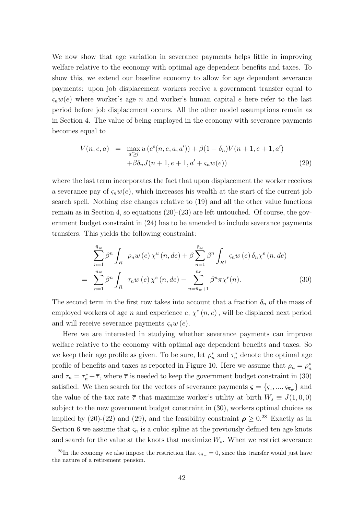We now show that age variation in severance payments helps little in improving welfare relative to the economy with optimal age dependent benefits and taxes. To show this, we extend our baseline economy to allow for age dependent severance payments: upon job displacement workers receive a government transfer equal to  $\zeta_n w(e)$  where worker's age n and worker's human capital e here refer to the last period before job displacement occurs. All the other model assumptions remain as in Section 4. The value of being employed in the economy with severance payments becomes equal to

$$
V(n, e, a) = \max_{a' \ge l} u(c^{e}(n, e, a, a')) + \beta(1 - \delta_{n})V(n + 1, e + 1, a')
$$
  
 
$$
+ \beta \delta_{n} J(n + 1, e + 1, a' + \varsigma_{n} w(e))
$$
 (29)

where the last term incorporates the fact that upon displacement the worker receives a severance pay of  $\zeta_n w(e)$ , which increases his wealth at the start of the current job search spell. Nothing else changes relative to (19) and all the other value functions remain as in Section 4, so equations  $(20)-(23)$  are left untouched. Of course, the government budget constraint in (24) has to be amended to include severance payments transfers. This yields the following constraint:

$$
\sum_{n=1}^{\bar{n}_w} \beta^n \int_{R^+} \rho_n w(e) \chi^u(n, de) + \beta \sum_{n=1}^{\bar{n}_w} \beta^n \int_{R^+} \varsigma_n w(e) \delta_n \chi^e(n, de)
$$

$$
= \sum_{n=1}^{\bar{n}_w} \beta^n \int_{R^+} \tau_n w(e) \chi^e(n, de) - \sum_{n=\bar{n}_w+1}^{\bar{n}_r} \beta^n \pi \chi^r(n).
$$
(30)

The second term in the first row takes into account that a fraction  $\delta_n$  of the mass of employed workers of age n and experience  $e, \chi^e(n, e)$ , will be displaced next period and will receive severance payments  $\zeta_n w(e)$ .

Here we are interested in studying whether severance payments can improve welfare relative to the economy with optimal age dependent benefits and taxes. So we keep their age profile as given. To be sure, let  $\rho_n^*$  and  $\tau_n^*$  denote the optimal age profile of benefits and taxes as reported in Figure 10. Here we assume that  $\rho_n = \rho_n^*$ and  $\tau_n = \tau_n^* + \overline{\tau}$ , where  $\overline{\tau}$  is needed to keep the government budget constraint in (30) satisfied. We then search for the vectors of severance payments  $\boldsymbol{\varsigma} = {\varsigma_1, ..., \varsigma_{n_w}}$  and the value of the tax rate  $\bar{\tau}$  that maximize worker's utility at birth  $W_s \equiv J(1,0,0)$ subject to the new government budget constraint in (30), workers optimal choices as implied by (20)-(22) and (29), and the feasibility constraint  $\rho \geq 0.^{28}$  Exactly as in Section 6 we assume that  $\varsigma_n$  is a cubic spline at the previously defined ten age knots and search for the value at the knots that maximize  $W_s$ . When we restrict severance

 $^{28}\text{In the economy we also impose the restriction that } \varsigma_{\bar{n}_w} = 0$ , since this transfer would just have the nature of a retirement pension.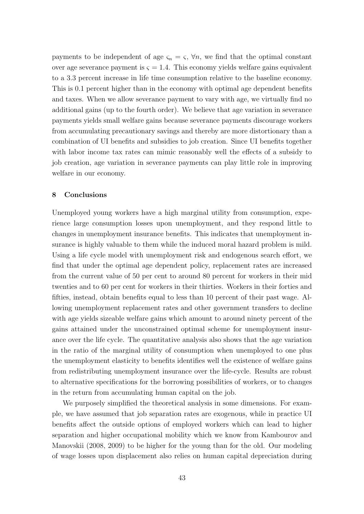payments to be independent of age  $\varsigma_n = \varsigma$ ,  $\forall n$ , we find that the optimal constant over age severance payment is  $\varsigma = 1.4$ . This economy yields welfare gains equivalent to a 3.3 percent increase in life time consumption relative to the baseline economy. This is 0.1 percent higher than in the economy with optimal age dependent benefits and taxes. When we allow severance payment to vary with age, we virtually find no additional gains (up to the fourth order). We believe that age variation in severance payments yields small welfare gains because severance payments discourage workers from accumulating precautionary savings and thereby are more distortionary than a combination of UI benefits and subsidies to job creation. Since UI benefits together with labor income tax rates can mimic reasonably well the effects of a subsidy to job creation, age variation in severance payments can play little role in improving welfare in our economy.

## 8 Conclusions

Unemployed young workers have a high marginal utility from consumption, experience large consumption losses upon unemployment, and they respond little to changes in unemployment insurance benefits. This indicates that unemployment insurance is highly valuable to them while the induced moral hazard problem is mild. Using a life cycle model with unemployment risk and endogenous search effort, we find that under the optimal age dependent policy, replacement rates are increased from the current value of 50 per cent to around 80 percent for workers in their mid twenties and to 60 per cent for workers in their thirties. Workers in their forties and fifties, instead, obtain benefits equal to less than 10 percent of their past wage. Allowing unemployment replacement rates and other government transfers to decline with age yields sizeable welfare gains which amount to around ninety percent of the gains attained under the unconstrained optimal scheme for unemployment insurance over the life cycle. The quantitative analysis also shows that the age variation in the ratio of the marginal utility of consumption when unemployed to one plus the unemployment elasticity to benefits identifies well the existence of welfare gains from redistributing unemployment insurance over the life-cycle. Results are robust to alternative specifications for the borrowing possibilities of workers, or to changes in the return from accumulating human capital on the job.

We purposely simplified the theoretical analysis in some dimensions. For example, we have assumed that job separation rates are exogenous, while in practice UI benefits affect the outside options of employed workers which can lead to higher separation and higher occupational mobility which we know from Kambourov and Manovskii (2008, 2009) to be higher for the young than for the old. Our modeling of wage losses upon displacement also relies on human capital depreciation during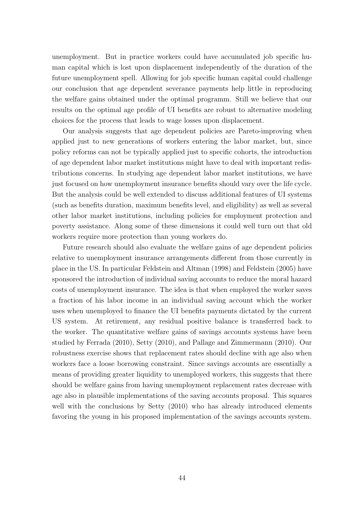unemployment. But in practice workers could have accumulated job specific human capital which is lost upon displacement independently of the duration of the future unemployment spell. Allowing for job specific human capital could challenge our conclusion that age dependent severance payments help little in reproducing the welfare gains obtained under the optimal programm. Still we believe that our results on the optimal age profile of UI benefits are robust to alternative modeling choices for the process that leads to wage losses upon displacement.

Our analysis suggests that age dependent policies are Pareto-improving when applied just to new generations of workers entering the labor market, but, since policy reforms can not be typically applied just to specific cohorts, the introduction of age dependent labor market institutions might have to deal with important redistributions concerns. In studying age dependent labor market institutions, we have just focused on how unemployment insurance benefits should vary over the life cycle. But the analysis could be well extended to discuss additional features of UI systems (such as benefits duration, maximum benefits level, and eligibility) as well as several other labor market institutions, including policies for employment protection and poverty assistance. Along some of these dimensions it could well turn out that old workers require more protection than young workers do.

Future research should also evaluate the welfare gains of age dependent policies relative to unemployment insurance arrangements different from those currently in place in the US. In particular Feldstein and Altman (1998) and Feldstein (2005) have sponsored the introduction of individual saving accounts to reduce the moral hazard costs of unemployment insurance. The idea is that when employed the worker saves a fraction of his labor income in an individual saving account which the worker uses when unemployed to finance the UI benefits payments dictated by the current US system. At retirement, any residual positive balance is transferred back to the worker. The quantitative welfare gains of savings accounts systems have been studied by Ferrada (2010), Setty (2010), and Pallage and Zimmermann (2010). Our robustness exercise shows that replacement rates should decline with age also when workers face a loose borrowing constraint. Since savings accounts are essentially a means of providing greater liquidity to unemployed workers, this suggests that there should be welfare gains from having unemployment replacement rates decrease with age also in plausible implementations of the saving accounts proposal. This squares well with the conclusions by Setty (2010) who has already introduced elements favoring the young in his proposed implementation of the savings accounts system.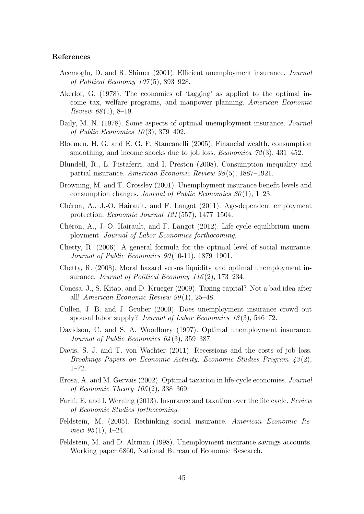## References

- Acemoglu, D. and R. Shimer (2001). Efficient unemployment insurance. Journal of Political Economy  $107(5)$ , 893–928.
- Akerlof, G. (1978). The economics of 'tagging' as applied to the optimal income tax, welfare programs, and manpower planning. American Economic *Review 68* $(1), 8-19.$
- Baily, M. N. (1978). Some aspects of optimal unemployment insurance. Journal of Public Economics  $10(3)$ , 379–402.
- Bloemen, H. G. and E. G. F. Stancanelli (2005). Financial wealth, consumption smoothing, and income shocks due to job loss. *Economica*  $72(3)$ ,  $431-452$ .
- Blundell, R., L. Pistaferri, and I. Preston (2008). Consumption inequality and partial insurance. American Economic Review 98 (5), 1887–1921.
- Browning, M. and T. Crossley (2001). Unemployment insurance benefit levels and consumption changes. Journal of Public Economics  $80(1)$ , 1–23.
- Chéron, A., J.-O. Hairault, and F. Langot (2011). Age-dependent employment protection. Economic Journal 121 (557), 1477–1504.
- Chéron, A., J.-O. Hairault, and F. Langot  $(2012)$ . Life-cycle equilibrium unemployment. Journal of Labor Economics forthocoming.
- Chetty, R. (2006). A general formula for the optimal level of social insurance. Journal of Public Economics  $90(10-11)$ , 1879–1901.
- Chetty, R. (2008). Moral hazard versus liquidity and optimal unemployment insurance. Journal of Political Economy  $116(2)$ , 173–234.
- Conesa, J., S. Kitao, and D. Krueger (2009). Taxing capital? Not a bad idea after all! American Economic Review  $99(1)$ , 25–48.
- Cullen, J. B. and J. Gruber (2000). Does unemployment insurance crowd out spousal labor supply? *Journal of Labor Economics*  $18(3)$ , 546–72.
- Davidson, C. and S. A. Woodbury (1997). Optimal unemployment insurance. Journal of Public Economics 64 (3), 359–387.
- Davis, S. J. and T. von Wachter (2011). Recessions and the costs of job loss. Brookings Papers on Economic Activity, Economic Studies Program  $\{43(2),\}$ 1–72.
- Erosa, A. and M. Gervais (2002). Optimal taxation in life-cycle economies. Journal of Economic Theory 105 (2), 338–369.
- Farhi, E. and I. Werning (2013). Insurance and taxation over the life cycle. Review of Economic Studies forthocoming.
- Feldstein, M. (2005). Rethinking social insurance. American Economic Re*view*  $95(1)$ , 1–24.
- Feldstein, M. and D. Altman (1998). Unemployment insurance savings accounts. Working paper 6860, National Bureau of Economic Research.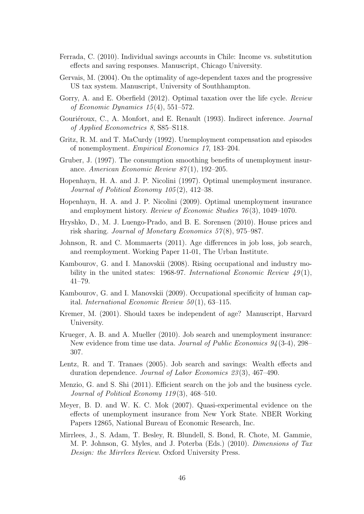- Ferrada, C. (2010). Individual savings accounts in Chile: Income vs. substitution effects and saving responses. Manuscript, Chicago University.
- Gervais, M. (2004). On the optimality of age-dependent taxes and the progressive US tax system. Manuscript, University of Southhampton.
- Gorry, A. and E. Oberfield (2012). Optimal taxation over the life cycle. Review of Economic Dynamics  $15(4)$ , 551–572.
- Gouriéroux, C., A. Monfort, and E. Renault (1993). Indirect inference. Journal of Applied Econometrics 8, S85–S118.
- Gritz, R. M. and T. MaCurdy (1992). Unemployment compensation and episodes of nonemployment. Empirical Economics 17, 183–204.
- Gruber, J. (1997). The consumption smoothing benefits of unemployment insurance. American Economic Review 87(1), 192–205.
- Hopenhayn, H. A. and J. P. Nicolini (1997). Optimal unemployment insurance. Journal of Political Economy 105 (2), 412–38.
- Hopenhayn, H. A. and J. P. Nicolini (2009). Optimal unemployment insurance and employment history. Review of Economic Studies 76 (3), 1049–1070.
- Hryshko, D., M. J. Luengo-Prado, and B. E. Sorensen (2010). House prices and risk sharing. Journal of Monetary Economics 57 (8), 975–987.
- Johnson, R. and C. Mommaerts (2011). Age differences in job loss, job search, and reemployment. Working Paper 11-01, The Urban Institute.
- Kambourov, G. and I. Manovskii (2008). Rising occupational and industry mobility in the united states: 1968-97. International Economic Review  $49(1)$ , 41–79.
- Kambourov, G. and I. Manovskii (2009). Occupational specificity of human capital. International Economic Review  $50(1)$ , 63-115.
- Kremer, M. (2001). Should taxes be independent of age? Manuscript, Harvard University.
- Krueger, A. B. and A. Mueller (2010). Job search and unemployment insurance: New evidence from time use data. Journal of Public Economics 94 (3-4), 298– 307.
- Lentz, R. and T. Tranaes (2005). Job search and savings: Wealth effects and duration dependence. Journal of Labor Economics 23(3), 467-490.
- Menzio, G. and S. Shi (2011). Efficient search on the job and the business cycle. Journal of Political Economy 119(3), 468–510.
- Meyer, B. D. and W. K. C. Mok (2007). Quasi-experimental evidence on the effects of unemployment insurance from New York State. NBER Working Papers 12865, National Bureau of Economic Research, Inc.
- Mirrlees, J., S. Adam, T. Besley, R. Blundell, S. Bond, R. Chote, M. Gammie, M. P. Johnson, G. Myles, and J. Poterba (Eds.) (2010). Dimensions of Tax Design: the Mirrlees Review. Oxford University Press.